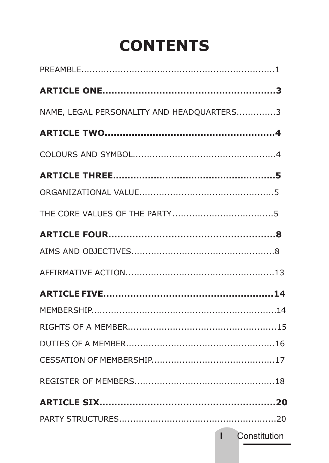# **CONTENTS**

| NAME, LEGAL PERSONALITY AND HEADOUARTERS3 |                       |
|-------------------------------------------|-----------------------|
|                                           |                       |
|                                           |                       |
|                                           |                       |
|                                           |                       |
|                                           |                       |
|                                           |                       |
|                                           |                       |
|                                           |                       |
|                                           |                       |
|                                           |                       |
|                                           |                       |
|                                           |                       |
|                                           |                       |
|                                           |                       |
|                                           |                       |
|                                           |                       |
|                                           | <b>i</b> Constitution |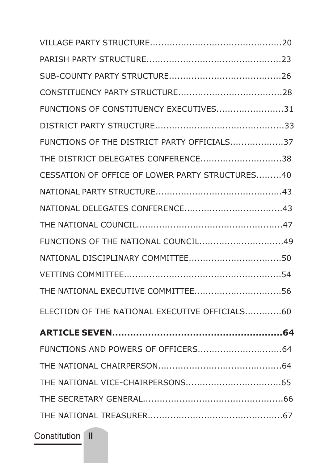| FUNCTIONS OF CONSTITUENCY EXECUTIVES31          |
|-------------------------------------------------|
|                                                 |
| FUNCTIONS OF THE DISTRICT PARTY OFFICIALS37     |
| THE DISTRICT DELEGATES CONFERENCE38             |
| CESSATION OF OFFICE OF LOWER PARTY STRUCTURES40 |
|                                                 |
|                                                 |
|                                                 |
|                                                 |
|                                                 |
|                                                 |
|                                                 |
| ELECTION OF THE NATIONAL EXECUTIVE OFFICIALS60  |
|                                                 |
|                                                 |
|                                                 |
|                                                 |
|                                                 |
|                                                 |

Constitution **ii**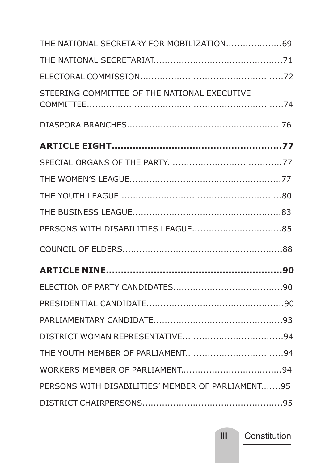| STEERING COMMITTEE OF THE NATIONAL EXECUTIVE      |  |
|---------------------------------------------------|--|
|                                                   |  |
|                                                   |  |
|                                                   |  |
|                                                   |  |
|                                                   |  |
|                                                   |  |
|                                                   |  |
|                                                   |  |
|                                                   |  |
|                                                   |  |
|                                                   |  |
|                                                   |  |
|                                                   |  |
|                                                   |  |
|                                                   |  |
| PERSONS WITH DISABILITIES' MEMBER OF PARLIAMENT95 |  |
|                                                   |  |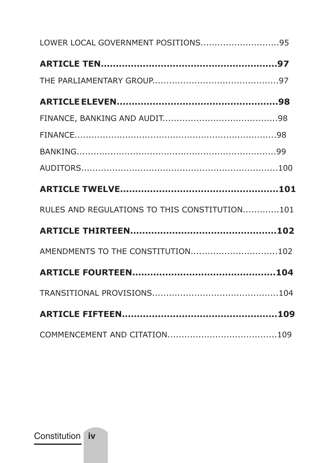| LOWER LOCAL GOVERNMENT POSITIONS95            |  |
|-----------------------------------------------|--|
|                                               |  |
|                                               |  |
|                                               |  |
|                                               |  |
|                                               |  |
|                                               |  |
|                                               |  |
|                                               |  |
| RULES AND REGULATIONS TO THIS CONSTITUTION101 |  |
|                                               |  |
| AMENDMENTS TO THE CONSTITUTION102             |  |
|                                               |  |
|                                               |  |
|                                               |  |
|                                               |  |

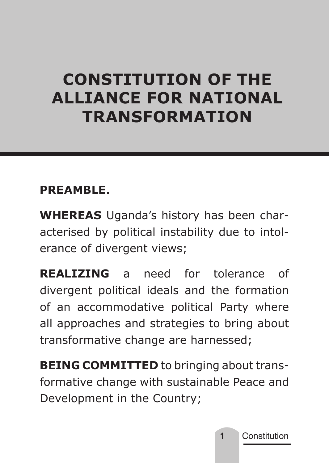# **CONSTITUTION OF THE ALLIANCE FOR NATIONAL TRANSFORMATION**

## **PREAMBLE.**

**WHEREAS** Uganda's history has been characterised by political instability due to intolerance of divergent views;

**REALIZING** a need for tolerance of divergent political ideals and the formation of an accommodative political Party where all approaches and strategies to bring about transformative change are harnessed;

**BEING COMMITTED** to bringing about transformative change with sustainable Peace and Development in the Country;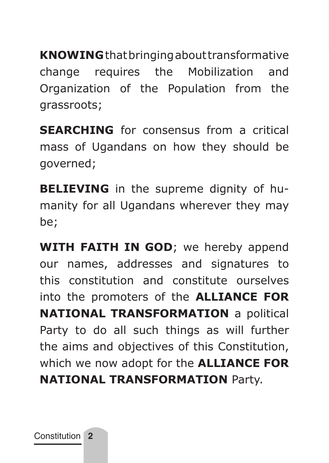**KNOWING** that bringing about transformative change requires the Mobilization and Organization of the Population from the grassroots;

**SEARCHING** for consensus from a critical mass of Ugandans on how they should be governed;

**BELIEVING** in the supreme dignity of humanity for all Ugandans wherever they may be;

**WITH FAITH IN GOD;** we hereby append our names, addresses and signatures to this constitution and constitute ourselves into the promoters of the **ALLIANCE FOR NATIONAL TRANSFORMATION** a political Party to do all such things as will further the aims and objectives of this Constitution, which we now adopt for the **ALLIANCE FOR NATIONAL TRANSFORMATION** Party.

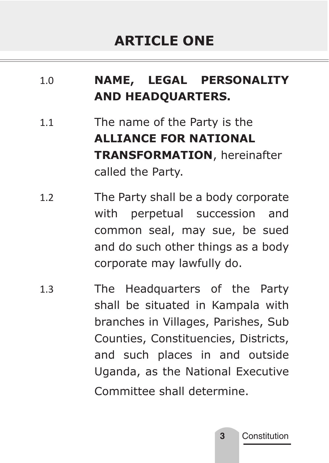# **ARTICLE ONE**

## 1.0 **NAME, LEGAL PERSONALITY AND HEADQUARTERS.**

- 1.1 The name of the Party is the **ALLIANCE FOR NATIONAL TRANSFORMATION**, hereinafter called the Party.
- 1.2 The Party shall be a body corporate with perpetual succession and common seal, may sue, be sued and do such other things as a body corporate may lawfully do.
- 1.3 The Headquarters of the Party shall be situated in Kampala with branches in Villages, Parishes, Sub Counties, Constituencies, Districts, and such places in and outside Uganda, as the National Executive Committee shall determine.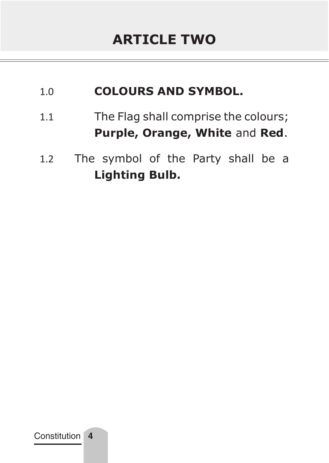#### 1.0 **COLOURS AND SYMBOL.**

- 1.1 The Flag shall comprise the colours; **Purple, Orange, White** and **Red**.
- 1.2 The symbol of the Party shall be a **Lighting Bulb.**

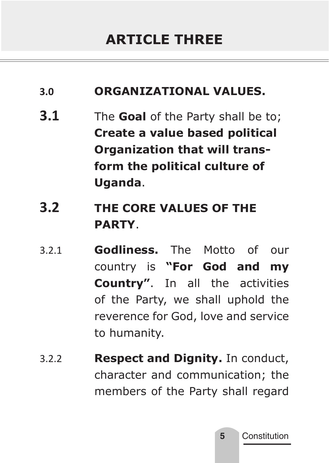#### **3.0 ORGANIZATIONAL VALUES.**

- **3.1** The **Goal** of the Party shall be to; **Create a value based political Organization that will transform the political culture of Uganda**.
- **3.2 THE CORE VALUES OF THE PARTY**.
- 3.2.1 **Godliness.** The Motto of our country is **"For God and my Country"**. In all the activities of the Party, we shall uphold the reverence for God, love and service to humanity.
- 3.2.2 **Respect and Dignity.** In conduct, character and communication; the members of the Party shall regard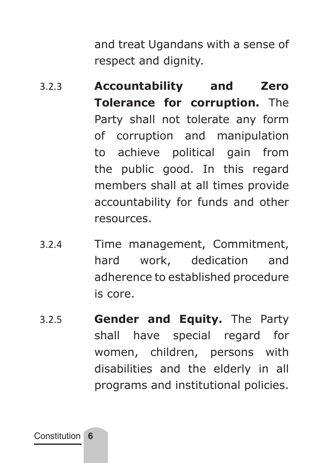and treat Ugandans with a sense of respect and dignity.

- 3.2.3 **Accountability and Zero Tolerance for corruption.** The Party shall not tolerate any form of corruption and manipulation to achieve political gain from the public good. In this regard members shall at all times provide accountability for funds and other resources.
- 3.2.4 Time management, Commitment, hard work, dedication and adherence to established procedure is core.
- 3.2.5 **Gender and Equity.** The Party shall have special regard for women, children, persons with disabilities and the elderly in all programs and institutional policies.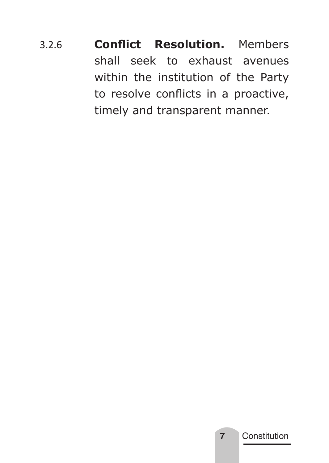3.2.6 **Conflict Resolution.** Members shall seek to exhaust avenues within the institution of the Party to resolve conflicts in a proactive, timely and transparent manner.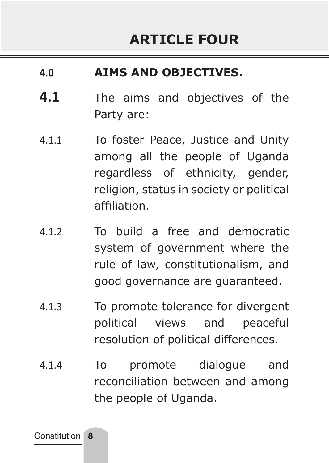#### **4.0 AIMS AND OBJECTIVES.**

- **4.1** The aims and objectives of the Party are:
- 4.1.1 To foster Peace, Justice and Unity among all the people of Uganda regardless of ethnicity, gender, religion, status in society or political affiliation.
- 4.1.2 To build a free and democratic system of government where the rule of law, constitutionalism, and good governance are guaranteed.
- 4.1.3 To promote tolerance for divergent political views and peaceful resolution of political differences.
- 4.1.4 To promote dialogue and reconciliation between and among the people of Uganda.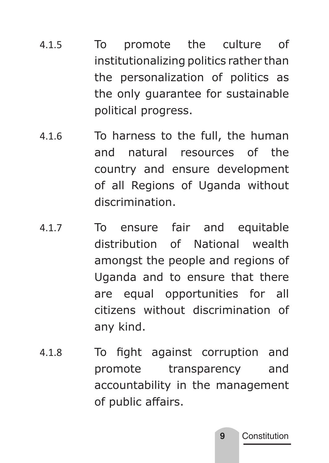- 4.1.5 To promote the culture of institutionalizing politics rather than the personalization of politics as the only guarantee for sustainable political progress.
- 4.1.6 To harness to the full, the human and natural resources of the country and ensure development of all Regions of Uganda without discrimination.
- 4.1.7 To ensure fair and equitable distribution of National wealth amongst the people and regions of Uganda and to ensure that there are equal opportunities for all citizens without discrimination of any kind.
- 4.1.8 To fight against corruption and promote transparency and accountability in the management of public affairs.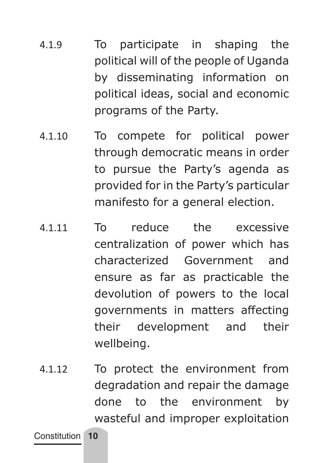- 4.1.9 To participate in shaping the political will of the people of Uganda by disseminating information on political ideas, social and economic programs of the Party.
- 4.1.10 To compete for political power through democratic means in order to pursue the Party's agenda as provided for in the Party's particular manifesto for a general election.
- 4.1.11 To reduce the excessive centralization of power which has characterized Government and ensure as far as practicable the devolution of powers to the local governments in matters affecting their development and their wellbeing.
- 4.1.12 To protect the environment from degradation and repair the damage done to the environment by wasteful and improper exploitation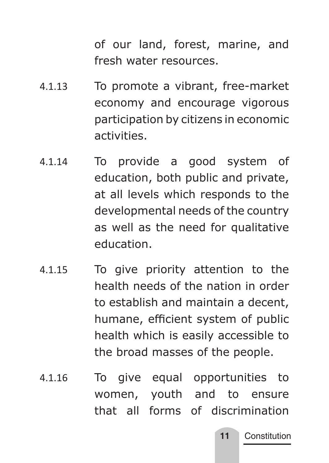of our land, forest, marine, and fresh water resources.

- 4.1.13 To promote a vibrant, free-market economy and encourage vigorous participation by citizens in economic activities.
- 4.1.14 To provide a good system of education, both public and private, at all levels which responds to the developmental needs of the country as well as the need for qualitative education.
- 4.1.15 To give priority attention to the health needs of the nation in order to establish and maintain a decent, humane, efficient system of public health which is easily accessible to the broad masses of the people.
- 4.1.16 To give equal opportunities to women, youth and to ensure that all forms of discrimination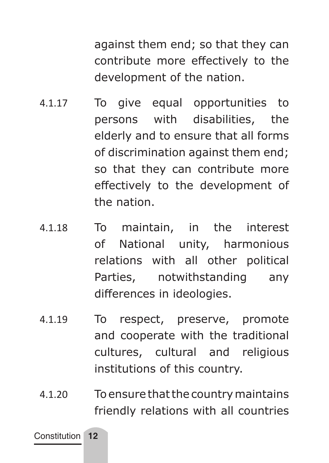against them end; so that they can contribute more effectively to the development of the nation.

- 4.1.17 To give equal opportunities to persons with disabilities, the elderly and to ensure that all forms of discrimination against them end; so that they can contribute more effectively to the development of the nation.
- 4.1.18 To maintain, in the interest of National unity, harmonious relations with all other political Parties, notwithstanding any differences in ideologies.
- 4.1.19 To respect, preserve, promote and cooperate with the traditional cultures, cultural and religious institutions of this country.
- 4.1.20 To ensure that the country maintains friendly relations with all countries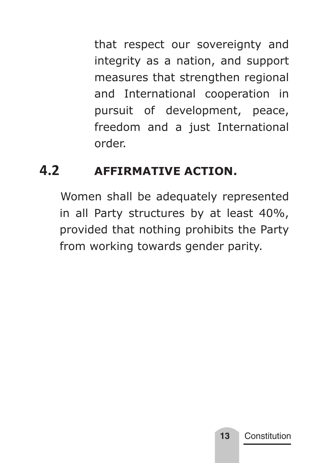that respect our sovereignty and integrity as a nation, and support measures that strengthen regional and International cooperation in pursuit of development, peace, freedom and a just International order.

## **4.2 AFFIRMATIVE ACTION.**

 Women shall be adequately represented in all Party structures by at least 40%, provided that nothing prohibits the Party from working towards gender parity.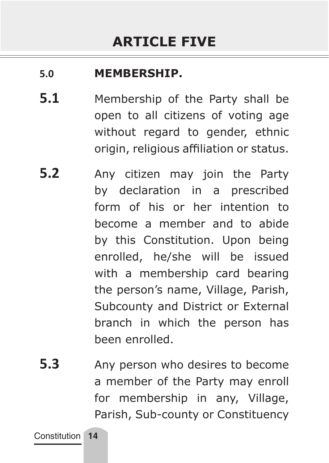#### **5.0 MEMBERSHIP.**

- **5.1** Membership of the Party shall be open to all citizens of voting age without regard to gender, ethnic origin, religious affiliation or status.
- **5.2** Any citizen may join the Party by declaration in a prescribed form of his or her intention to become a member and to abide by this Constitution. Upon being enrolled, he/she will be issued with a membership card bearing the person's name, Village, Parish, Subcounty and District or External branch in which the person has been enrolled.
- **5.3** Any person who desires to become a member of the Party may enroll for membership in any, Village, Parish, Sub-county or Constituency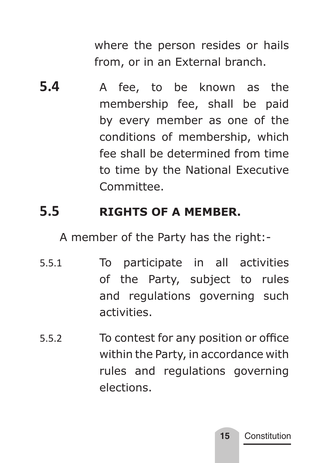where the person resides or hails from, or in an External branch.

**5.4** A fee, to be known as the membership fee, shall be paid by every member as one of the conditions of membership, which fee shall be determined from time to time by the National Executive Committee.

## **5.5 RIGHTS OF A MEMBER.**

A member of the Party has the right:-

- 5.5.1 To participate in all activities of the Party, subject to rules and regulations governing such activities.
- 5.5.2 To contest for any position or office within the Party, in accordance with rules and regulations governing elections.

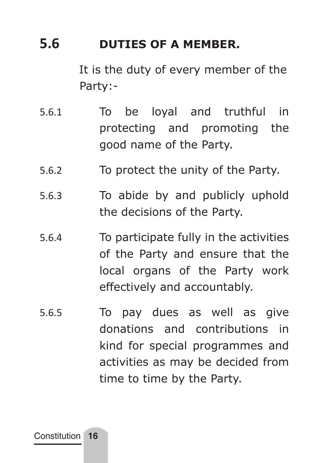## **5.6 DUTIES OF A MEMBER.**

 It is the duty of every member of the Party:-

- 5.6.1 To be loyal and truthful in protecting and promoting the good name of the Party.
- 5.6.2 To protect the unity of the Party.
- 5.6.3 To abide by and publicly uphold the decisions of the Party.
- 5.6.4 To participate fully in the activities of the Party and ensure that the local organs of the Party work effectively and accountably.
- 5.6.5 To pay dues as well as give donations and contributions in kind for special programmes and activities as may be decided from time to time by the Party.

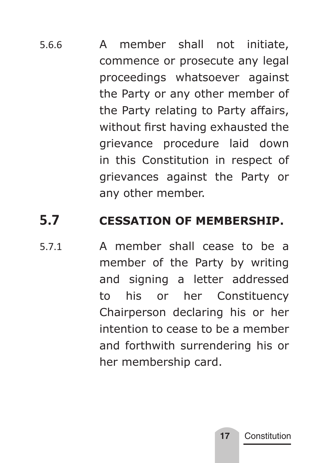5.6.6 A member shall not initiate, commence or prosecute any legal proceedings whatsoever against the Party or any other member of the Party relating to Party affairs, without first having exhausted the grievance procedure laid down in this Constitution in respect of grievances against the Party or any other member.

## **5.7 CESSATION OF MEMBERSHIP.**

5.7.1 A member shall cease to be a member of the Party by writing and signing a letter addressed to his or her Constituency Chairperson declaring his or her intention to cease to be a member and forthwith surrendering his or her membership card.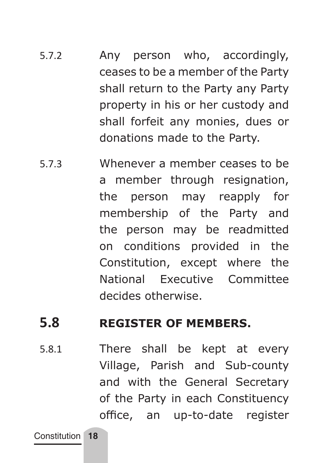- 5.7.2 Any person who, accordingly, ceases to be a member of the Party shall return to the Party any Party property in his or her custody and shall forfeit any monies, dues or donations made to the Party.
- 5.7.3 Whenever a member ceases to be a member through resignation, the person may reapply for membership of the Party and the person may be readmitted on conditions provided in the Constitution, except where the National Executive Committee decides otherwise.

#### **5.8 REGISTER OF MEMBERS.**

5.8.1 There shall be kept at every Village, Parish and Sub-county and with the General Secretary of the Party in each Constituency office, an up-to-date register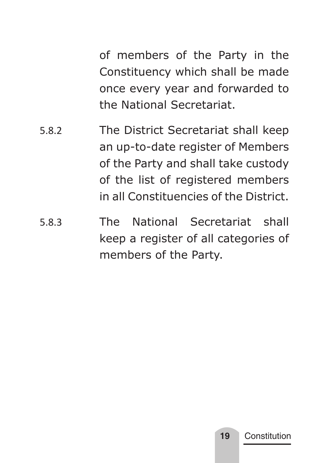of members of the Party in the Constituency which shall be made once every year and forwarded to the National Secretariat.

- 5.8.2 The District Secretariat shall keep an up-to-date register of Members of the Party and shall take custody of the list of registered members in all Constituencies of the District.
- 5.8.3 The National Secretariat shall keep a register of all categories of members of the Party.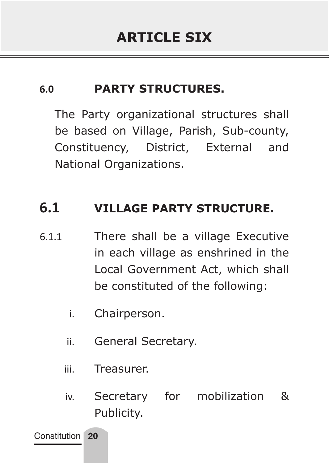#### **6.0 PARTY STRUCTURES.**

The Party organizational structures shall be based on Village, Parish, Sub-county, Constituency, District, External and National Organizations.

## **6.1 VILLAGE PARTY STRUCTURE.**

- 6.1.1 There shall be a village Executive in each village as enshrined in the Local Government Act, which shall be constituted of the following:
	- i. Chairperson.
	- ii. General Secretary.
	- iii. Treasurer.
	- iv. Secretary for mobilization & Publicity.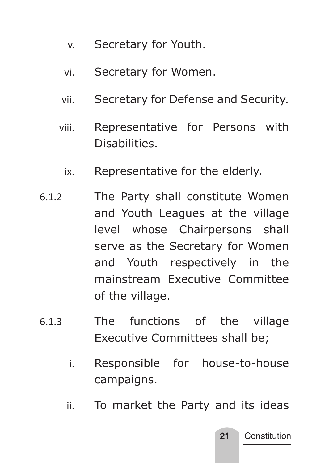- v. Secretary for Youth.
- vi. Secretary for Women.
- vii. Secretary for Defense and Security.
- viii. Representative for Persons with **Disabilities** 
	- ix. Representative for the elderly.
- 6.1.2 The Party shall constitute Women and Youth Leagues at the village level whose Chairpersons shall serve as the Secretary for Women and Youth respectively in the mainstream Executive Committee of the village.
- 6.1.3 The functions of the village Executive Committees shall be;
	- i. Responsible for house-to-house campaigns.
	- ii. To market the Party and its ideas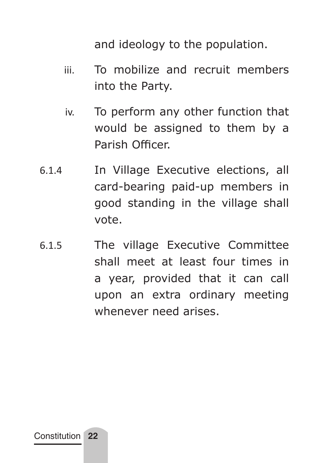and ideology to the population.

- iii. To mobilize and recruit members into the Party.
- iv. To perform any other function that would be assigned to them by a Parish Officer.
- 6.1.4 In Village Executive elections, all card-bearing paid-up members in good standing in the village shall vote.
- 6.1.5 The village Executive Committee shall meet at least four times in a year, provided that it can call upon an extra ordinary meeting whenever need arises.

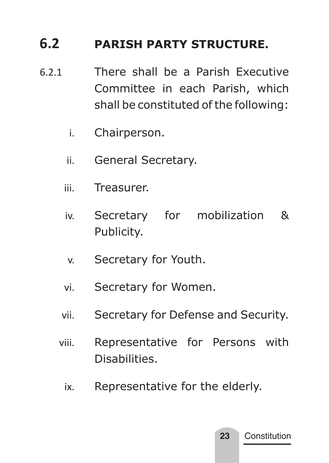## **6.2 PARISH PARTY STRUCTURE.**

- 6.2.1 There shall be a Parish Executive Committee in each Parish, which shall be constituted of the following:
	- i. Chairperson.
	- ii. General Secretary.
	- iii. Treasurer.
	- iv. Secretary for mobilization & Publicity.
	- v. Secretary for Youth.
	- vi. Secretary for Women.
	- vii. Secretary for Defense and Security.
	- viii. Representative for Persons with Disabilities.
		- ix. Representative for the elderly.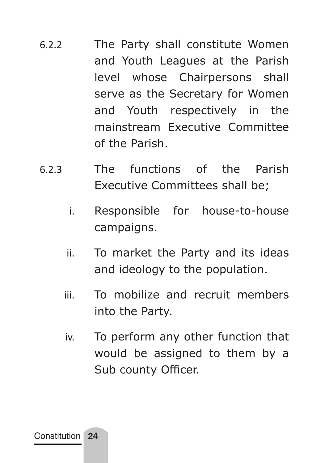- 6.2.2 The Party shall constitute Women and Youth Leagues at the Parish level whose Chairpersons shall serve as the Secretary for Women and Youth respectively in the mainstream Executive Committee of the Parish.
- 6.2.3 The functions of the Parish Executive Committees shall be;
	- i. Responsible for house-to-house campaigns.
	- ii. To market the Party and its ideas and ideology to the population.
	- iii. To mobilize and recruit members into the Party.
	- iv. To perform any other function that would be assigned to them by a Sub county Officer.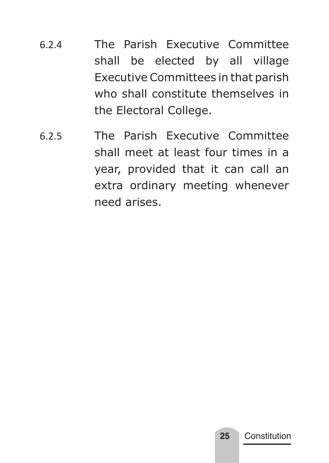- 6.2.4 The Parish Executive Committee shall be elected by all village Executive Committees in that parish who shall constitute themselves in the Electoral College.
- 6.2.5 The Parish Executive Committee shall meet at least four times in a year, provided that it can call an extra ordinary meeting whenever need arises.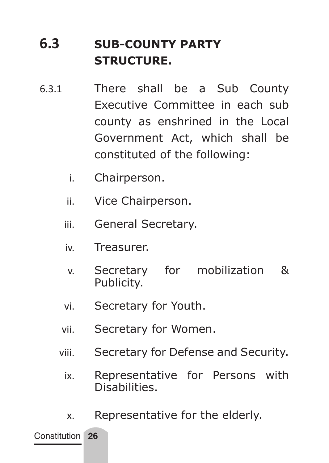# **6.3 SUB-COUNTY PARTY STRUCTURE.**

- 6.3.1 There shall be a Sub County Executive Committee in each sub county as enshrined in the Local Government Act, which shall be constituted of the following:
	- i. Chairperson.
	- ii. Vice Chairperson.
	- iii. General Secretary.
	- iv. Treasurer.
	- v. Secretary for mobilization & Publicity.
	- vi. Secretary for Youth.
	- vii. Secretary for Women.
	- viii. Secretary for Defense and Security.
		- ix. Representative for Persons with **Disabilities**
		- x. Representative for the elderly.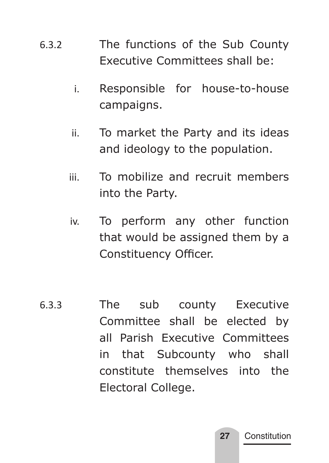- 6.3.2 The functions of the Sub County Executive Committees shall be:
	- i. Responsible for house-to-house campaigns.
	- ii. To market the Party and its ideas and ideology to the population.
	- iii. To mobilize and recruit members into the Party.
	- iv. To perform any other function that would be assigned them by a Constituency Officer.
- 6.3.3 The sub county Executive Committee shall be elected by all Parish Executive Committees in that Subcounty who shall constitute themselves into the Electoral College.

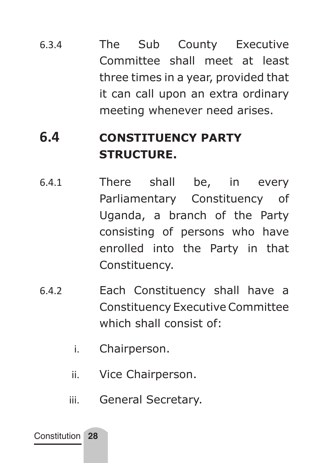6.3.4 The Sub County Executive Committee shall meet at least three times in a year, provided that it can call upon an extra ordinary meeting whenever need arises.

## **6.4 CONSTITUENCY PARTY STRUCTURE.**

- 6.4.1 There shall be, in every Parliamentary Constituency of Uganda, a branch of the Party consisting of persons who have enrolled into the Party in that Constituency.
- 6.4.2 Each Constituency shall have a Constituency Executive Committee which shall consist of:
	- i. Chairperson.
	- ii. Vice Chairperson.
	- iii. General Secretary.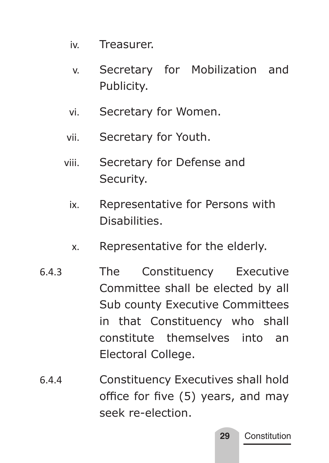- iv. Treasurer.
- v. Secretary for Mobilization and Publicity.
- vi. Secretary for Women.
- vii. Secretary for Youth.
- viii. Secretary for Defense and Security.
	- ix. Representative for Persons with Disabilities.
	- x. Representative for the elderly.
- 6.4.3 The Constituency Executive Committee shall be elected by all Sub county Executive Committees in that Constituency who shall constitute themselves into an Electoral College.
- 6.4.4 Constituency Executives shall hold office for five (5) years, and may seek re-election.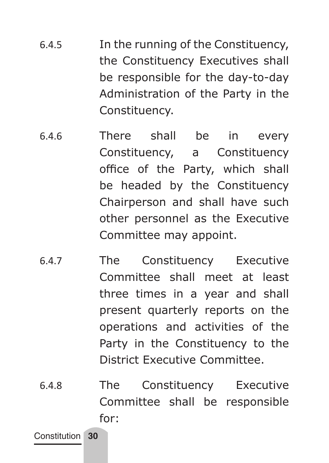- 6.4.5 In the running of the Constituency, the Constituency Executives shall be responsible for the day-to-day Administration of the Party in the Constituency.
- 6.4.6 There shall be in every Constituency, a Constituency office of the Party, which shall be headed by the Constituency Chairperson and shall have such other personnel as the Executive Committee may appoint.
- 6.4.7 The Constituency Executive Committee shall meet at least three times in a year and shall present quarterly reports on the operations and activities of the Party in the Constituency to the District Executive Committee.
- 6.4.8 The Constituency Executive Committee shall be responsible for: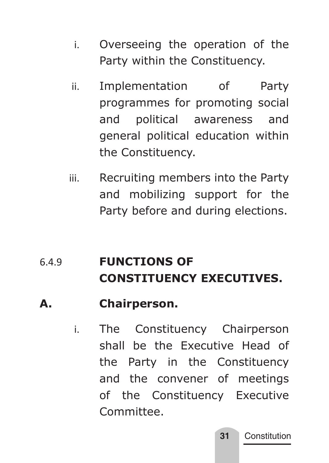- i. Overseeing the operation of the Party within the Constituency.
- ii. Implementation of Party programmes for promoting social and political awareness and general political education within the Constituency.
- iii. Recruiting members into the Party and mobilizing support for the Party before and during elections.

## 6.4.9 **FUNCTIONS OF CONSTITUENCY EXECUTIVES.**

### **A. Chairperson.**

i. The Constituency Chairperson shall be the Executive Head of the Party in the Constituency and the convener of meetings of the Constituency Executive Committee.

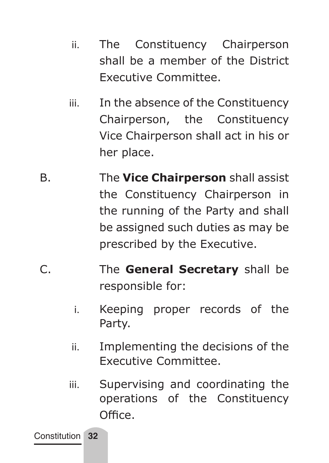- ii. The Constituency Chairperson shall be a member of the District Executive Committee.
- iii. In the absence of the Constituency Chairperson, the Constituency Vice Chairperson shall act in his or her place.
- B. The **Vice Chairperson** shall assist the Constituency Chairperson in the running of the Party and shall be assigned such duties as may be prescribed by the Executive.
- C. The **General Secretary** shall be responsible for:
	- i. Keeping proper records of the Party.
	- ii. Implementing the decisions of the Executive Committee.
	- iii. Supervising and coordinating the operations of the Constituency Office.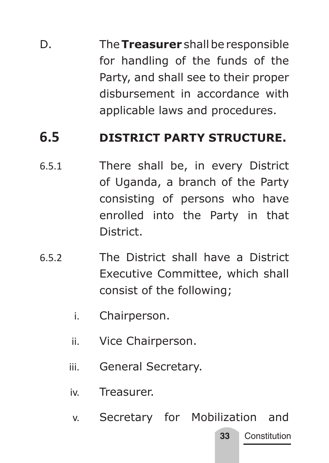D. The **Treasurer** shall be responsible for handling of the funds of the Party, and shall see to their proper disbursement in accordance with applicable laws and procedures.

### **6.5 DISTRICT PARTY STRUCTURE.**

- 6.5.1 There shall be, in every District of Uganda, a branch of the Party consisting of persons who have enrolled into the Party in that District.
- 6.5.2 The District shall have a District Executive Committee, which shall consist of the following;
	- i. Chairperson.
	- ii. Vice Chairperson.
	- iii. General Secretary.
	- iv. Treasurer.
	- v. Secretary for Mobilization and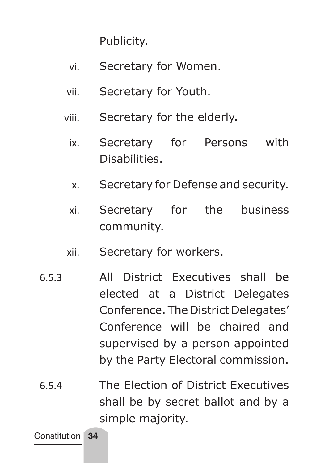Publicity.

- vi. Secretary for Women.
- vii. Secretary for Youth.
- viii. Secretary for the elderly.
	- ix. Secretary for Persons with Disabilities.
	- x. Secretary for Defense and security.
	- xi. Secretary for the business community.
- xii. Secretary for workers.
- 6.5.3 All District Executives shall be elected at a District Delegates Conference. The District Delegates' Conference will be chaired and supervised by a person appointed by the Party Electoral commission.
- 6.5.4 The Election of District Executives shall be by secret ballot and by a simple majority.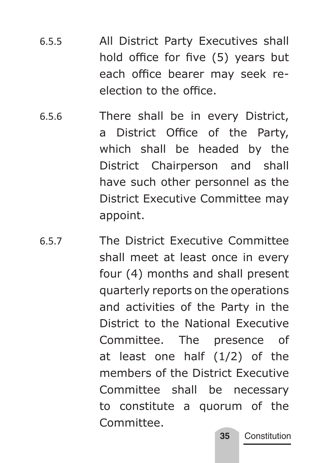- 6.5.5 All District Party Executives shall hold office for five (5) years but each office bearer may seek reelection to the office.
- 6.5.6 There shall be in every District, a District Office of the Party, which shall be headed by the District Chairperson and shall have such other personnel as the District Executive Committee may appoint.
- 6.5.7 The District Executive Committee shall meet at least once in every four (4) months and shall present quarterly reports on the operations and activities of the Party in the District to the National Executive Committee. The presence of at least one half (1/2) of the members of the District Executive Committee shall be necessary to constitute a quorum of the Committee.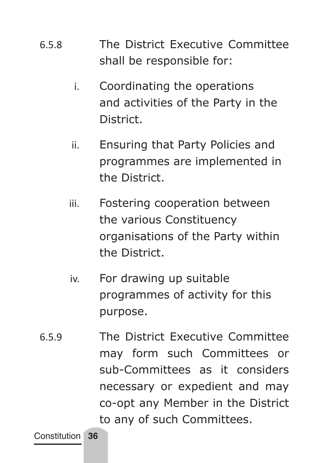- 6.5.8 The District Executive Committee shall be responsible for:
	- i. Coordinating the operations and activities of the Party in the District.
	- ii. Ensuring that Party Policies and programmes are implemented in the District.
	- iii. Fostering cooperation between the various Constituency organisations of the Party within the District.
	- iv. For drawing up suitable programmes of activity for this purpose.
- 6.5.9 The District Executive Committee may form such Committees or sub-Committees as it considers necessary or expedient and may co-opt any Member in the District to any of such Committees.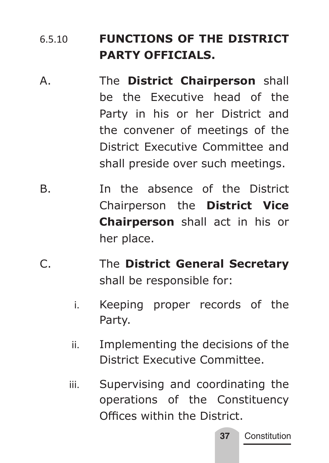# 6.5.10 **FUNCTIONS OF THE DISTRICT PARTY OFFICIALS.**

- A. The **District Chairperson** shall be the Executive head of the Party in his or her District and the convener of meetings of the District Executive Committee and shall preside over such meetings.
- B. In the absence of the District Chairperson the **District Vice Chairperson** shall act in his or her place.
- C. The **District General Secretary** shall be responsible for:
	- i. Keeping proper records of the Party.
	- ii. Implementing the decisions of the District Executive Committee.
	- iii. Supervising and coordinating the operations of the Constituency Offices within the District.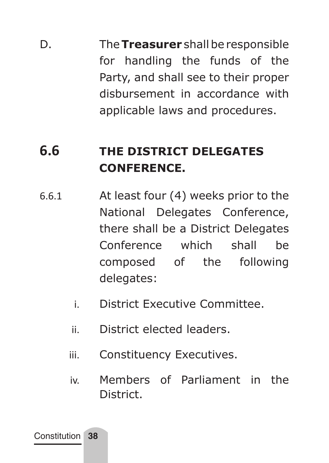D. The **Treasurer** shall be responsible for handling the funds of the Party, and shall see to their proper disbursement in accordance with applicable laws and procedures.

# **6.6 THE DISTRICT DELEGATES CONFERENCE.**

- 6.6.1 At least four (4) weeks prior to the National Delegates Conference, there shall be a District Delegates Conference which shall be composed of the following delegates:
	- i. District Executive Committee.
	- ii. District elected leaders.
	- iii. Constituency Executives.
	- iv. Members of Parliament in the District.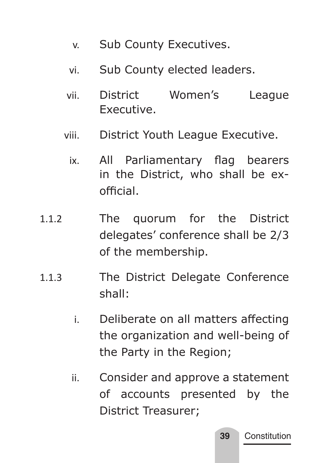- v. Sub County Executives.
- vi. Sub County elected leaders.
- vii. District Women's League Executive.
- viii. District Youth League Executive.
	- ix. All Parliamentary flag bearers in the District, who shall be exofficial.
- 1.1.2 The quorum for the District delegates' conference shall be 2/3 of the membership.
- 1.1.3 The District Delegate Conference shall:
	- i. Deliberate on all matters affecting the organization and well-being of the Party in the Region;
	- ii. Consider and approve a statement of accounts presented by the District Treasurer;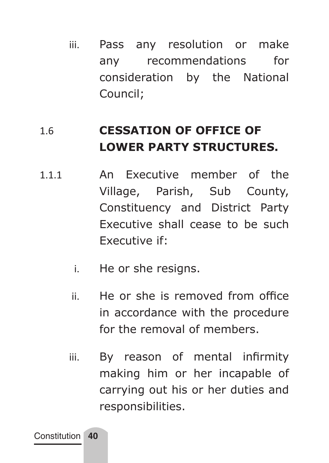iii. Pass any resolution or make any recommendations for consideration by the National Council;

## 1.6 **CESSATION OF OFFICE OF LOWER PARTY STRUCTURES.**

- 1.1.1 An Executive member of the Village, Parish, Sub County, Constituency and District Party Executive shall cease to be such Executive if:
	- i. He or she resigns.
	- ii. He or she is removed from office in accordance with the procedure for the removal of members.
	- iii. By reason of mental infirmity making him or her incapable of carrying out his or her duties and responsibilities.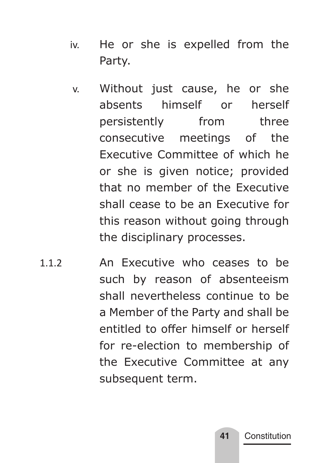- iv. He or she is expelled from the Party.
- v. Without just cause, he or she absents himself or herself persistently from three consecutive meetings of the Executive Committee of which he or she is given notice; provided that no member of the Executive shall cease to be an Executive for this reason without going through the disciplinary processes.
- 1.1.2 An Executive who ceases to be such by reason of absenteeism shall nevertheless continue to be a Member of the Party and shall be entitled to offer himself or herself for re-election to membership of the Executive Committee at any subsequent term.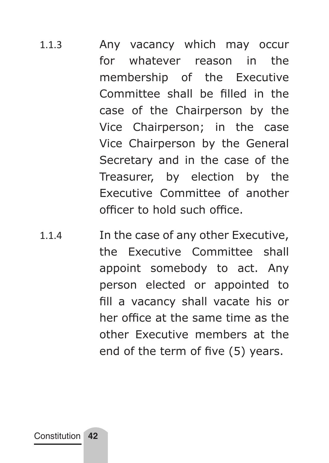- 1.1.3 Any vacancy which may occur for whatever reason in the membership of the Executive Committee shall be filled in the case of the Chairperson by the Vice Chairperson; in the case Vice Chairperson by the General Secretary and in the case of the Treasurer, by election by the Executive Committee of another officer to hold such office.
- 1.1.4 In the case of any other Executive, the Executive Committee shall appoint somebody to act. Any person elected or appointed to fill a vacancy shall vacate his or her office at the same time as the other Executive members at the end of the term of five (5) years.

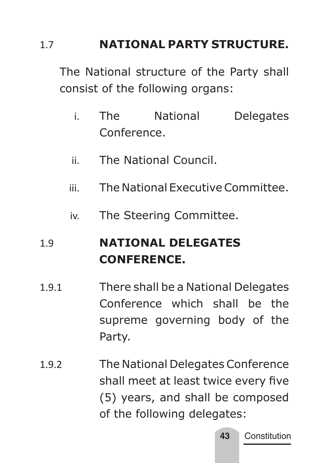### 1.7 **NATIONAL PARTY STRUCTURE.**

The National structure of the Party shall consist of the following organs:

- i. The National Delegates Conference.
- ii. The National Council.
- iii. The National Executive Committee.
- iv. The Steering Committee.

## 1.9 **NATIONAL DELEGATES CONFERENCE.**

- 1.9.1 There shall be a National Delegates Conference which shall be the supreme governing body of the Party.
- 1.9.2 The National Delegates Conference shall meet at least twice every five (5) years, and shall be composed of the following delegates: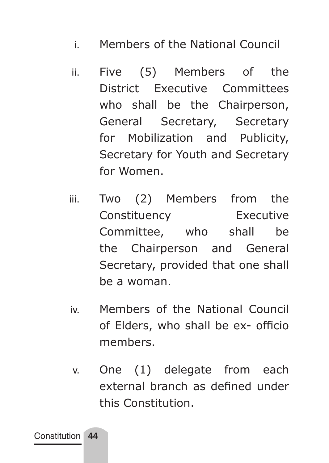- i. Members of the National Council
- ii. Five (5) Members of the District Executive Committees who shall be the Chairperson, General Secretary, Secretary for Mobilization and Publicity, Secretary for Youth and Secretary for Women.
- iii. Two (2) Members from the Constituency Executive Committee, who shall be the Chairperson and General Secretary, provided that one shall be a woman.
- iv. Members of the National Council of Elders, who shall be ex- officio members.
- v. One (1) delegate from each external branch as defined under this Constitution.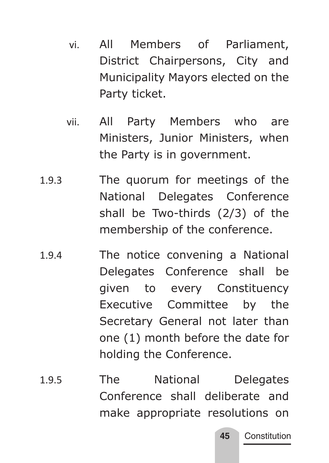- vi. All Members of Parliament, District Chairpersons, City and Municipality Mayors elected on the Party ticket.
- vii. All Party Members who are Ministers, Junior Ministers, when the Party is in government.
- 1.9.3 The quorum for meetings of the National Delegates Conference shall be Two-thirds (2/3) of the membership of the conference.
- 1.9.4 The notice convening a National Delegates Conference shall be given to every Constituency Executive Committee by the Secretary General not later than one (1) month before the date for holding the Conference.
- 1.9.5 The National Delegates Conference shall deliberate and make appropriate resolutions on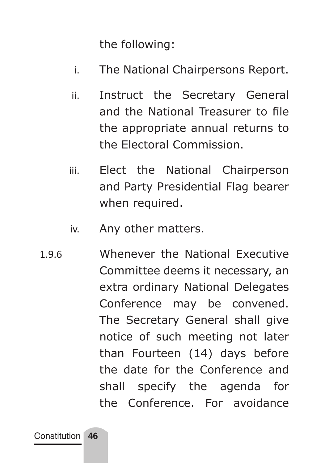the following:

- i. The National Chairpersons Report.
- ii. Instruct the Secretary General and the National Treasurer to file the appropriate annual returns to the Electoral Commission.
- iii. Elect the National Chairperson and Party Presidential Flag bearer when required.
- iv. Any other matters.
- 1.9.6 Whenever the National Executive Committee deems it necessary, an extra ordinary National Delegates Conference may be convened. The Secretary General shall give notice of such meeting not later than Fourteen (14) days before the date for the Conference and shall specify the agenda for the Conference. For avoidance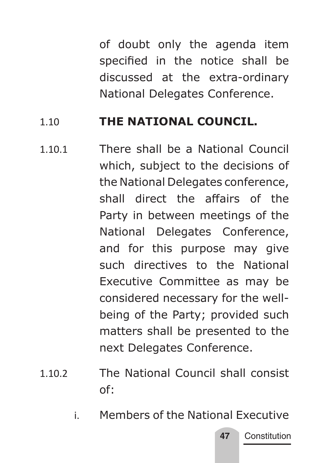of doubt only the agenda item specified in the notice shall be discussed at the extra-ordinary National Delegates Conference.

#### 1.10 **THE NATIONAL COUNCIL.**

- 1.10.1 There shall be a National Council which, subject to the decisions of the National Delegates conference, shall direct the affairs of the Party in between meetings of the National Delegates Conference, and for this purpose may give such directives to the National Executive Committee as may be considered necessary for the wellbeing of the Party; provided such matters shall be presented to the next Delegates Conference.
- 1.10.2 The National Council shall consist of:
	- i. Members of the National Executive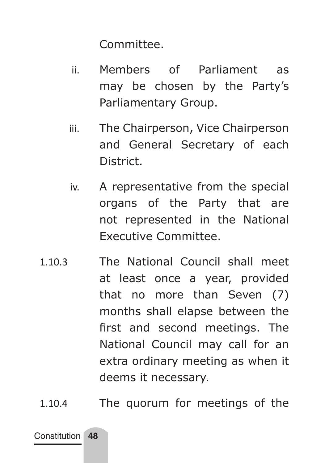Committee.

- ii. Members of Parliament as may be chosen by the Party's Parliamentary Group.
- iii. The Chairperson, Vice Chairperson and General Secretary of each District.
- iv. A representative from the special organs of the Party that are not represented in the National Executive Committee.
- 1.10.3 The National Council shall meet at least once a year, provided that no more than Seven (7) months shall elapse between the first and second meetings. The National Council may call for an extra ordinary meeting as when it deems it necessary.
- 1.10.4 The quorum for meetings of the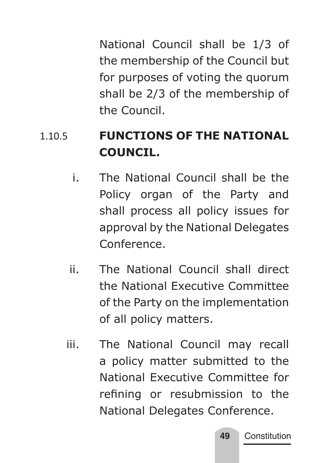National Council shall be 1/3 of the membership of the Council but for purposes of voting the quorum shall be 2/3 of the membership of the Council.

## 1.10.5 **FUNCTIONS OF THE NATIONAL COUNCIL.**

- i. The National Council shall be the Policy organ of the Party and shall process all policy issues for approval by the National Delegates Conference.
- ii. The National Council shall direct the National Executive Committee of the Party on the implementation of all policy matters.
- iii. The National Council may recall a policy matter submitted to the National Executive Committee for refining or resubmission to the National Delegates Conference.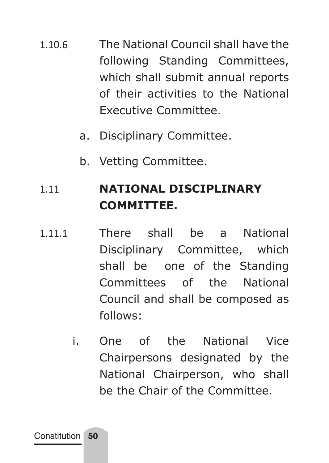- 1.10.6 The National Council shall have the following Standing Committees, which shall submit annual reports of their activities to the National Executive Committee.
	- a. Disciplinary Committee.
	- b. Vetting Committee.

# 1.11 **NATIONAL DISCIPLINARY COMMITTEE.**

- 1.11.1 There shall be a National Disciplinary Committee, which shall be one of the Standing Committees of the National Council and shall be composed as follows:
	- i. One of the National Vice Chairpersons designated by the National Chairperson, who shall be the Chair of the Committee.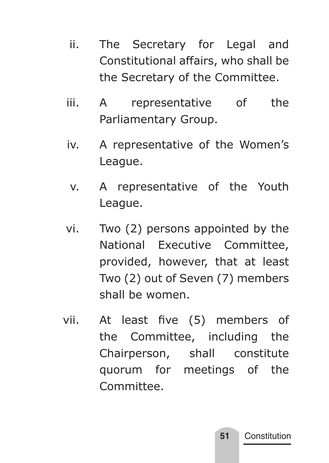- ii. The Secretary for Legal and Constitutional affairs, who shall be the Secretary of the Committee.
- iii. A representative of the Parliamentary Group.
- iv. A representative of the Women's League.
- v. A representative of the Youth League.
- vi. Two (2) persons appointed by the National Executive Committee, provided, however, that at least Two (2) out of Seven (7) members shall be women.
- vii. At least five (5) members of the Committee, including the Chairperson, shall constitute quorum for meetings of the Committee.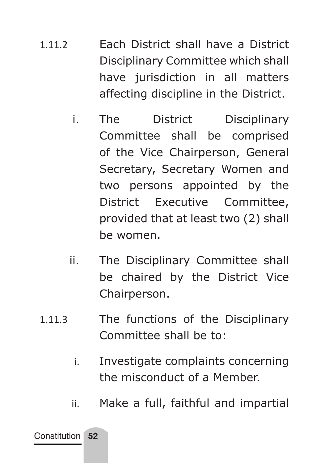- 1.11.2 Each District shall have a District Disciplinary Committee which shall have jurisdiction in all matters affecting discipline in the District.
	- i. The District Disciplinary Committee shall be comprised of the Vice Chairperson, General Secretary, Secretary Women and two persons appointed by the District Executive Committee, provided that at least two (2) shall be women.
	- ii. The Disciplinary Committee shall be chaired by the District Vice Chairperson.
- 1.11.3 The functions of the Disciplinary Committee shall be to:
	- i. Investigate complaints concerning the misconduct of a Member.
	- ii. Make a full, faithful and impartial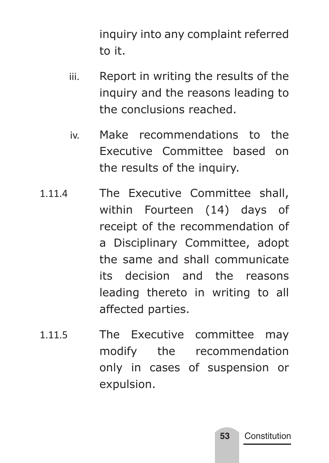inquiry into any complaint referred to it.

- iii. Report in writing the results of the inquiry and the reasons leading to the conclusions reached.
- iv. Make recommendations to the Executive Committee based on the results of the inquiry.
- 1.11.4 The Executive Committee shall, within Fourteen (14) days of receipt of the recommendation of a Disciplinary Committee, adopt the same and shall communicate its decision and the reasons leading thereto in writing to all affected parties.
- 1.11.5 The Executive committee may modify the recommendation only in cases of suspension or expulsion.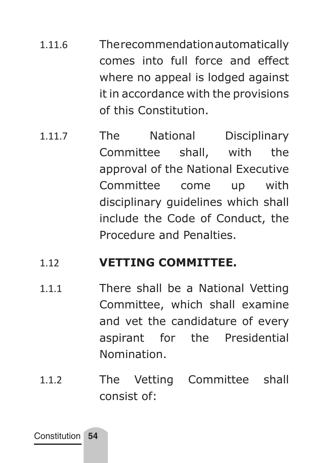- 1.11.6 The recommendation automatically comes into full force and effect where no appeal is lodged against it in accordance with the provisions of this Constitution.
- 1.11.7 The National Disciplinary Committee shall, with the approval of the National Executive Committee come up with disciplinary guidelines which shall include the Code of Conduct, the Procedure and Penalties.

#### 1.12 **VETTING COMMITTEE.**

- 1.1.1 There shall be a National Vetting Committee, which shall examine and vet the candidature of every aspirant for the Presidential Nomination.
- 1.1.2 The Vetting Committee shall consist of: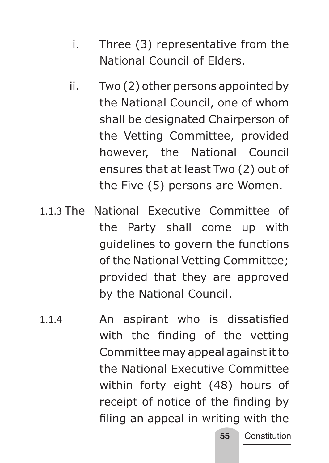- i. Three (3) representative from the National Council of Elders.
- ii. Two (2) other persons appointed by the National Council, one of whom shall be designated Chairperson of the Vetting Committee, provided however, the National Council ensures that at least Two (2) out of the Five (5) persons are Women.
- 1.1.3 The National Executive Committee of the Party shall come up with guidelines to govern the functions of the National Vetting Committee; provided that they are approved by the National Council.
- 1.1.4 An aspirant who is dissatisfied with the finding of the vetting Committee may appeal against it to the National Executive Committee within forty eight (48) hours of receipt of notice of the finding by filing an appeal in writing with the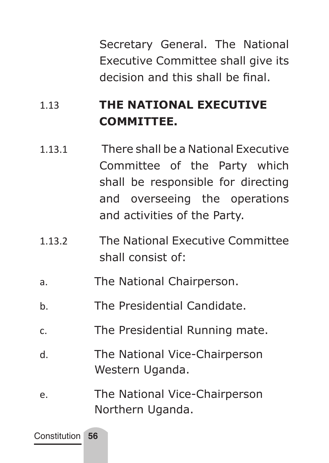Secretary General. The National Executive Committee shall give its decision and this shall be final.

## 1.13 **THE NATIONAL EXECUTIVE COMMITTEE.**

- 1.13.1 There shall be a National Executive Committee of the Party which shall be responsible for directing and overseeing the operations and activities of the Party.
- 1.13.2 The National Executive Committee shall consist of:
- a. The National Chairperson.
- b. The Presidential Candidate.
- c. The Presidential Running mate.
- d. The National Vice-Chairperson Western Uganda.
- e. The National Vice-Chairperson Northern Uganda.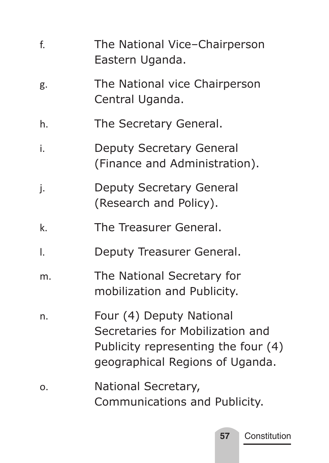| f. | The National Vice-Chairperson<br>Eastern Uganda.                                                                                       |
|----|----------------------------------------------------------------------------------------------------------------------------------------|
| g. | The National vice Chairperson<br>Central Uganda.                                                                                       |
| h. | The Secretary General.                                                                                                                 |
| i. | Deputy Secretary General<br>(Finance and Administration).                                                                              |
| j. | Deputy Secretary General<br>(Research and Policy).                                                                                     |
| k. | The Treasurer General.                                                                                                                 |
| I. | Deputy Treasurer General.                                                                                                              |
| m. | The National Secretary for<br>mobilization and Publicity.                                                                              |
| n. | Four (4) Deputy National<br>Secretaries for Mobilization and<br>Publicity representing the four (4)<br>geographical Regions of Uganda. |
| о. | National Secretary,<br>Communications and Publicity.                                                                                   |

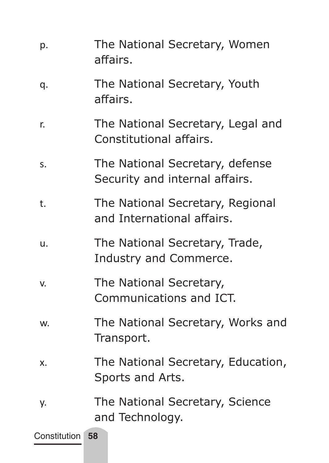| The National Secretary, Youth<br>q.<br>affairs.<br>The National Secretary, Legal and<br>r.<br>Constitutional affairs.<br>The National Secretary, defense<br>s.<br>Security and internal affairs.<br>The National Secretary, Regional<br>t.<br>and International affairs.<br>The National Secretary, Trade,<br>u.<br>Industry and Commerce.<br>The National Secretary,<br>V.<br>Communications and ICT.<br>The National Secretary, Works and<br>W.<br>Transport.<br>The National Secretary, Education,<br>x.<br>Sports and Arts.<br>The National Secretary, Science<br>у.<br>and Technology.<br>Constitution 58 | p. | The National Secretary, Women<br>affairs. |
|----------------------------------------------------------------------------------------------------------------------------------------------------------------------------------------------------------------------------------------------------------------------------------------------------------------------------------------------------------------------------------------------------------------------------------------------------------------------------------------------------------------------------------------------------------------------------------------------------------------|----|-------------------------------------------|
|                                                                                                                                                                                                                                                                                                                                                                                                                                                                                                                                                                                                                |    |                                           |
|                                                                                                                                                                                                                                                                                                                                                                                                                                                                                                                                                                                                                |    |                                           |
|                                                                                                                                                                                                                                                                                                                                                                                                                                                                                                                                                                                                                |    |                                           |
|                                                                                                                                                                                                                                                                                                                                                                                                                                                                                                                                                                                                                |    |                                           |
|                                                                                                                                                                                                                                                                                                                                                                                                                                                                                                                                                                                                                |    |                                           |
|                                                                                                                                                                                                                                                                                                                                                                                                                                                                                                                                                                                                                |    |                                           |
|                                                                                                                                                                                                                                                                                                                                                                                                                                                                                                                                                                                                                |    |                                           |
|                                                                                                                                                                                                                                                                                                                                                                                                                                                                                                                                                                                                                |    |                                           |
|                                                                                                                                                                                                                                                                                                                                                                                                                                                                                                                                                                                                                |    |                                           |
|                                                                                                                                                                                                                                                                                                                                                                                                                                                                                                                                                                                                                |    |                                           |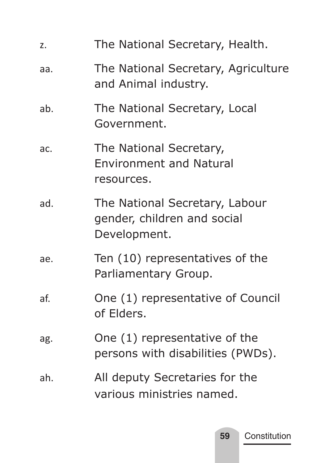| z.  | The National Secretary, Health.                                               |
|-----|-------------------------------------------------------------------------------|
| aa. | The National Secretary, Agriculture<br>and Animal industry.                   |
| ab. | The National Secretary, Local<br>Government.                                  |
| ac. | The National Secretary,<br><b>Environment and Natural</b><br>resources.       |
| ad. | The National Secretary, Labour<br>gender, children and social<br>Development. |
| ae. | Ten (10) representatives of the<br>Parliamentary Group.                       |
| af. | One (1) representative of Council<br>of Elders.                               |
| ag. | One (1) representative of the<br>persons with disabilities (PWDs).            |
| ah. | All deputy Secretaries for the<br>various ministries named.                   |

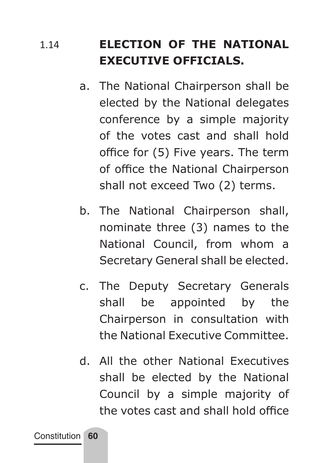## 1.14 **ELECTION OF THE NATIONAL EXECUTIVE OFFICIALS.**

- a. The National Chairperson shall be elected by the National delegates conference by a simple majority of the votes cast and shall hold office for (5) Five years. The term of office the National Chairperson shall not exceed Two (2) terms.
- b. The National Chairperson shall, nominate three (3) names to the National Council, from whom a Secretary General shall be elected.
- c. The Deputy Secretary Generals shall be appointed by the Chairperson in consultation with the National Executive Committee.
- d. All the other National Executives shall be elected by the National Council by a simple majority of the votes cast and shall hold office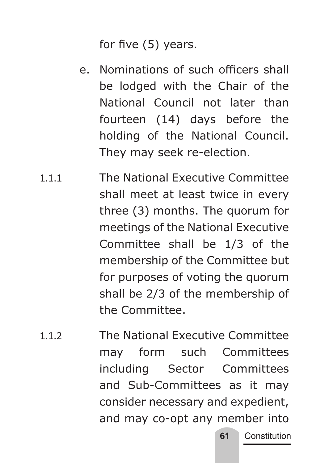for five (5) years.

- e. Nominations of such officers shall be lodged with the Chair of the National Council not later than fourteen (14) days before the holding of the National Council. They may seek re-election.
- 1.1.1 The National Executive Committee shall meet at least twice in every three (3) months. The quorum for meetings of the National Executive Committee shall be 1/3 of the membership of the Committee but for purposes of voting the quorum shall be 2/3 of the membership of the Committee.
- 1.1.2 The National Executive Committee may form such Committees including Sector Committees and Sub-Committees as it may consider necessary and expedient, and may co-opt any member into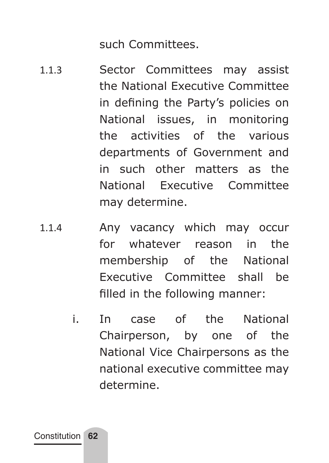such Committees.

- 1.1.3 Sector Committees may assist the National Executive Committee in defining the Party's policies on National issues, in monitoring the activities of the various departments of Government and in such other matters as the National Executive Committee may determine.
- 1.1.4 Any vacancy which may occur for whatever reason in the membership of the National Executive Committee shall be filled in the following manner:
	- i. In case of the National Chairperson, by one of the National Vice Chairpersons as the national executive committee may determine.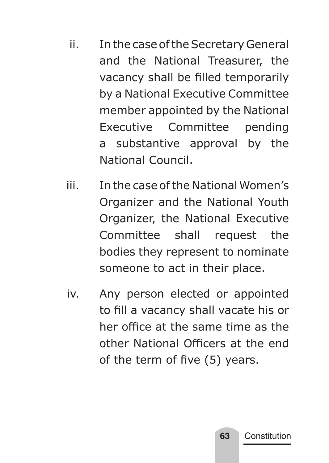- ii. In the case of the Secretary General and the National Treasurer, the vacancy shall be filled temporarily by a National Executive Committee member appointed by the National Executive Committee pending a substantive approval by the National Council.
- iii. In the case of the National Women's Organizer and the National Youth Organizer, the National Executive Committee shall request the bodies they represent to nominate someone to act in their place.
- iv. Any person elected or appointed to fill a vacancy shall vacate his or her office at the same time as the other National Officers at the end of the term of five (5) years.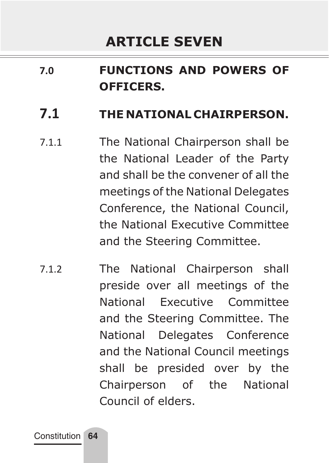# **7.0 FUNCTIONS AND POWERS OF OFFICERS.**

### **7.1 THE NATIONAL CHAIRPERSON.**

- 7.1.1 The National Chairperson shall be the National Leader of the Party and shall be the convener of all the meetings of the National Delegates Conference, the National Council, the National Executive Committee and the Steering Committee.
- 7.1.2 The National Chairperson shall preside over all meetings of the National Executive Committee and the Steering Committee. The National Delegates Conference and the National Council meetings shall be presided over by the Chairperson of the National Council of elders.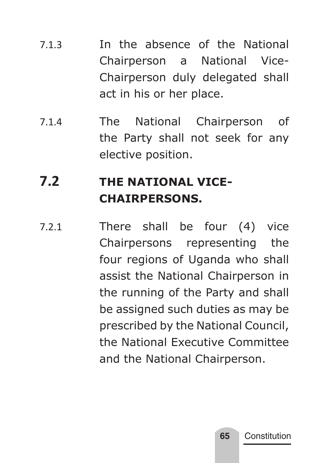- 7.1.3 In the absence of the National Chairperson a National Vice-Chairperson duly delegated shall act in his or her place.
- 7.1.4 The National Chairperson of the Party shall not seek for any elective position.

# **7.2 THE NATIONAL VICE-CHAIRPERSONS.**

7.2.1 There shall be four (4) vice Chairpersons representing the four regions of Uganda who shall assist the National Chairperson in the running of the Party and shall be assigned such duties as may be prescribed by the National Council, the National Executive Committee and the National Chairperson.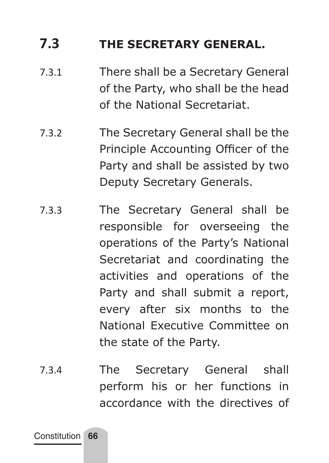## **7.3 THE SECRETARY GENERAL.**

- 7.3.1 There shall be a Secretary General of the Party, who shall be the head of the National Secretariat.
- 7.3.2 The Secretary General shall be the Principle Accounting Officer of the Party and shall be assisted by two Deputy Secretary Generals.
- 7.3.3 The Secretary General shall be responsible for overseeing the operations of the Party's National Secretariat and coordinating the activities and operations of the Party and shall submit a report, every after six months to the National Executive Committee on the state of the Party.
- 7.3.4 The Secretary General shall perform his or her functions in accordance with the directives of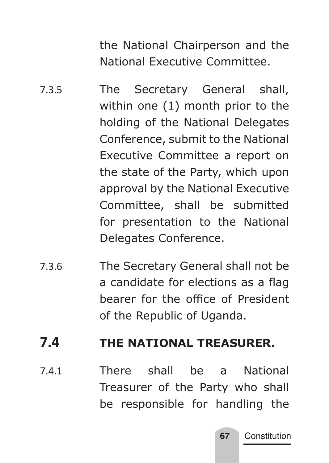the National Chairperson and the National Executive Committee.

- 7.3.5 The Secretary General shall, within one (1) month prior to the holding of the National Delegates Conference, submit to the National Executive Committee a report on the state of the Party, which upon approval by the National Executive Committee, shall be submitted for presentation to the National Delegates Conference.
- 7.3.6 The Secretary General shall not be a candidate for elections as a flag bearer for the office of President of the Republic of Uganda.

### **7.4 THE NATIONAL TREASURER.**

7.4.1 There shall be a National Treasurer of the Party who shall be responsible for handling the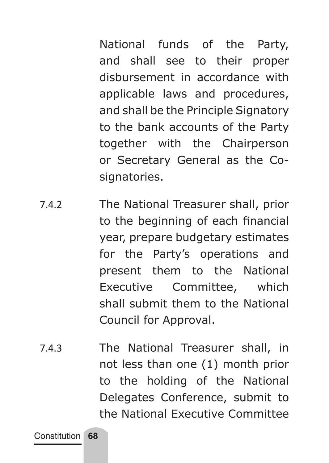National funds of the Party, and shall see to their proper disbursement in accordance with applicable laws and procedures, and shall be the Principle Signatory to the bank accounts of the Party together with the Chairperson or Secretary General as the Cosignatories.

- 7.4.2 The National Treasurer shall, prior to the beginning of each financial year, prepare budgetary estimates for the Party's operations and present them to the National Executive Committee, which shall submit them to the National Council for Approval.
- 7.4.3 The National Treasurer shall, in not less than one (1) month prior to the holding of the National Delegates Conference, submit to the National Executive Committee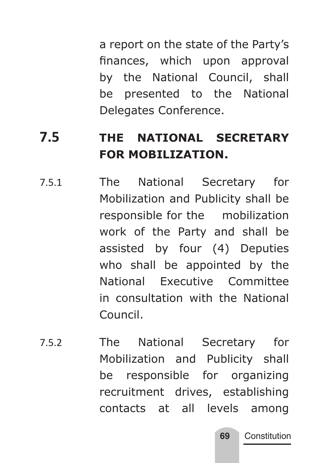a report on the state of the Party's finances, which upon approval by the National Council, shall be presented to the National Delegates Conference.

# **7.5 THE NATIONAL SECRETARY FOR MOBILIZATION.**

- 7.5.1 The National Secretary for Mobilization and Publicity shall be responsible for the mobilization work of the Party and shall be assisted by four (4) Deputies who shall be appointed by the National Executive Committee in consultation with the National Council.
- 7.5.2 The National Secretary for Mobilization and Publicity shall be responsible for organizing recruitment drives, establishing contacts at all levels among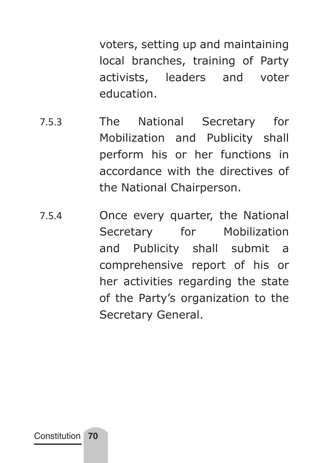voters, setting up and maintaining local branches, training of Party activists, leaders and voter education.

- 7.5.3 The National Secretary for Mobilization and Publicity shall perform his or her functions in accordance with the directives of the National Chairperson.
- 7.5.4 Once every quarter, the National Secretary for Mobilization and Publicity shall submit a comprehensive report of his or her activities regarding the state of the Party's organization to the Secretary General.

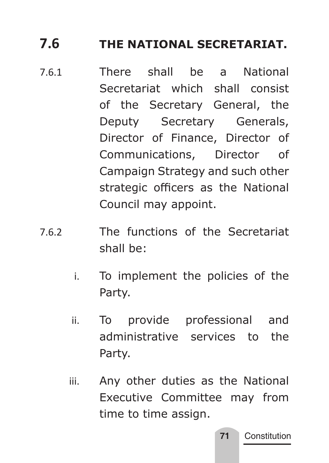# **7.6 THE NATIONAL SECRETARIAT.**

- 7.6.1 There shall be a National Secretariat which shall consist of the Secretary General, the Deputy Secretary Generals, Director of Finance, Director of Communications, Director of Campaign Strategy and such other strategic officers as the National Council may appoint.
- 7.6.2 The functions of the Secretariat shall be:
	- i. To implement the policies of the Party.
	- ii. To provide professional and administrative services to the Party.
	- iii. Any other duties as the National Executive Committee may from time to time assign.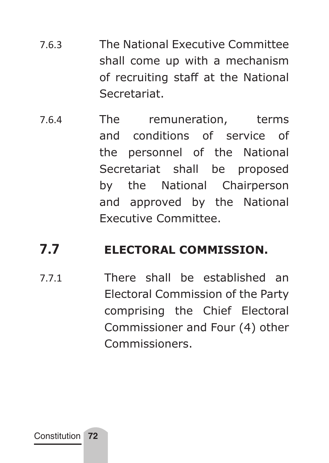- 7.6.3 The National Executive Committee shall come up with a mechanism of recruiting staff at the National Secretariat.
- 7.6.4 The remuneration, terms and conditions of service of the personnel of the National Secretariat shall be proposed by the National Chairperson and approved by the National Executive Committee.

### **7.7 ELECTORAL COMMISSION.**

7.7.1 There shall be established an Electoral Commission of the Party comprising the Chief Electoral Commissioner and Four (4) other Commissioners.

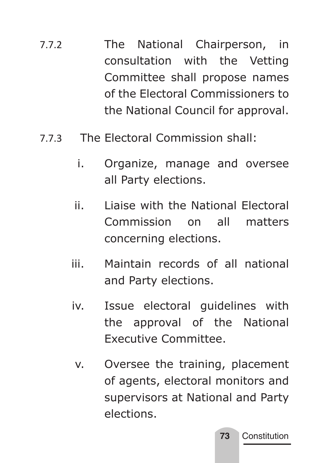- 7.7.2 The National Chairperson, in consultation with the Vetting Committee shall propose names of the Electoral Commissioners to the National Council for approval.
- 7.7.3 The Electoral Commission shall:
	- i. Organize, manage and oversee all Party elections.
	- ii. Liaise with the National Electoral Commission on all matters concerning elections.
	- iii. Maintain records of all national and Party elections.
	- iv. Issue electoral guidelines with the approval of the National Executive Committee.
		- v. Oversee the training, placement of agents, electoral monitors and supervisors at National and Party elections.

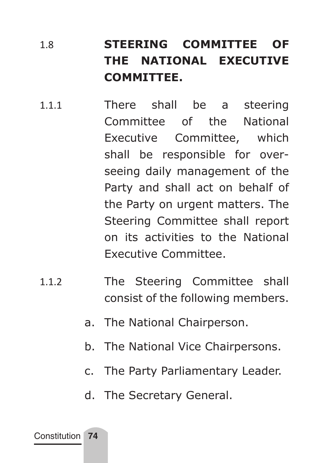# 1.8 **STEERING COMMITTEE OF THE NATIONAL EXECUTIVE COMMITTEE.**

- 1.1.1 There shall be a steering Committee of the National Executive Committee, which shall be responsible for overseeing daily management of the Party and shall act on behalf of the Party on urgent matters. The Steering Committee shall report on its activities to the National Executive Committee.
- 1.1.2 The Steering Committee shall consist of the following members.
	- a. The National Chairperson.
	- b. The National Vice Chairpersons.
	- c. The Party Parliamentary Leader.
	- d. The Secretary General.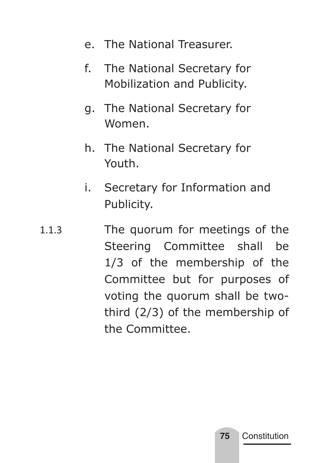- e. The National Treasurer.
- f. The National Secretary for Mobilization and Publicity.
- g. The National Secretary for Women.
- h. The National Secretary for Youth.
- i. Secretary for Information and Publicity.
- 1.1.3 The quorum for meetings of the Steering Committee shall be 1/3 of the membership of the Committee but for purposes of voting the quorum shall be twothird (2/3) of the membership of the Committee.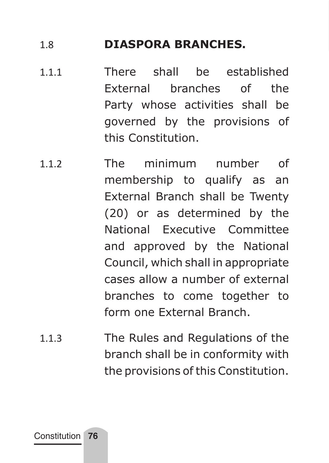### 1.8 **DIASPORA BRANCHES.**

- 1.1.1 There shall be established External branches of the Party whose activities shall be governed by the provisions of this Constitution.
- 112 The minimum number of membership to qualify as an External Branch shall be Twenty (20) or as determined by the National Executive Committee and approved by the National Council, which shall in appropriate cases allow a number of external branches to come together to form one External Branch.
- 1.1.3 The Rules and Regulations of the branch shall be in conformity with the provisions of this Constitution.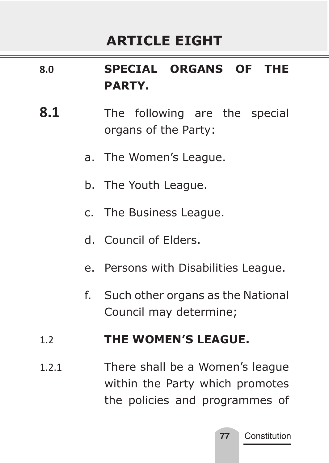# **ARTICLE EIGHT**

## **8.0 SPECIAL ORGANS OF THE PARTY.**

- **8.1** The following are the special organs of the Party:
	- a. The Women's League.
	- b. The Youth League.
	- c. The Business League.
	- d. Council of Elders.
	- e. Persons with Disabilities League.
	- f. Such other organs as the National Council may determine;

#### 1.2 **THE WOMEN'S LEAGUE.**

1.2.1 There shall be a Women's league within the Party which promotes the policies and programmes of

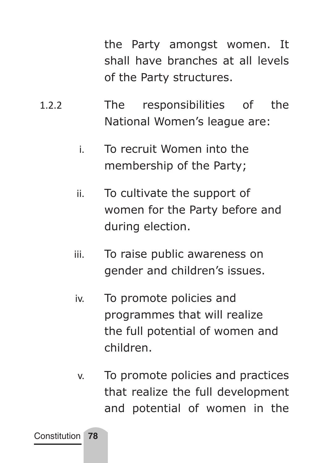the Party amongst women. It shall have branches at all levels of the Party structures.

- 1.2.2 The responsibilities of the National Women's league are:
	- i. To recruit Women into the membership of the Party;
	- ii. To cultivate the support of women for the Party before and during election.
	- iii. To raise public awareness on gender and children's issues.
	- iv. To promote policies and programmes that will realize the full potential of women and children.
	- v. To promote policies and practices that realize the full development and potential of women in the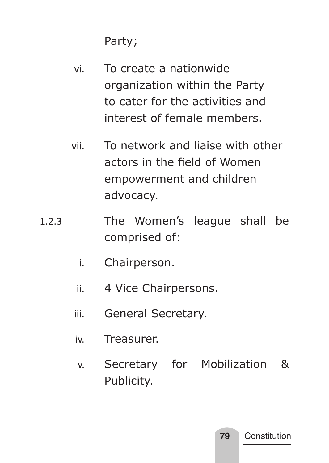Party;

- vi. To create a nationwide organization within the Party to cater for the activities and interest of female members.
- vii. To network and liaise with other actors in the field of Women empowerment and children advocacy.
- 1.2.3 The Women's league shall be comprised of:
	- i. Chairperson.
	- ii. 4 Vice Chairpersons.
	- iii. General Secretary.
	- iv. Treasurer.
	- v. Secretary for Mobilization & Publicity.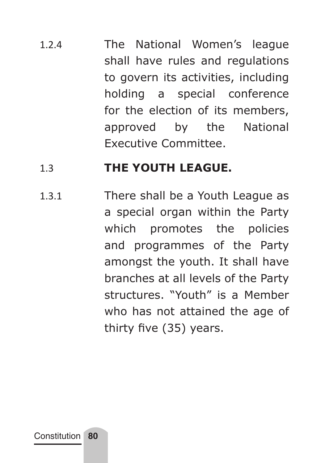1.2.4 The National Women's league shall have rules and regulations to govern its activities, including holding a special conference for the election of its members, approved by the National Executive Committee.

### 1.3 **THE YOUTH LEAGUE.**

1.3.1 There shall be a Youth League as a special organ within the Party which promotes the policies and programmes of the Party amongst the youth. It shall have branches at all levels of the Party structures. "Youth" is a Member who has not attained the age of thirty five (35) years.

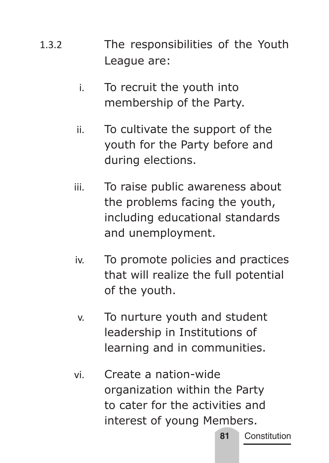- 1.3.2 The responsibilities of the Youth League are:
	- i. To recruit the youth into membership of the Party.
	- ii. To cultivate the support of the youth for the Party before and during elections.
	- iii. To raise public awareness about the problems facing the youth, including educational standards and unemployment.
	- iv. To promote policies and practices that will realize the full potential of the youth.
	- v. To nurture youth and student leadership in Institutions of learning and in communities.
	- vi. Create a nation-wide organization within the Party to cater for the activities and interest of young Members.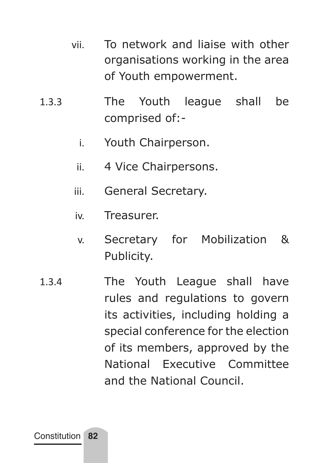- vii. To network and liaise with other organisations working in the area of Youth empowerment.
- 1.3.3 The Youth league shall be comprised of:
	- i. Youth Chairperson.
	- ii. 4 Vice Chairpersons.
	- iii. General Secretary.
	- iv. Treasurer.
	- v. Secretary for Mobilization & Publicity.
- 1.3.4 The Youth League shall have rules and regulations to govern its activities, including holding a special conference for the election of its members, approved by the National Executive Committee and the National Council.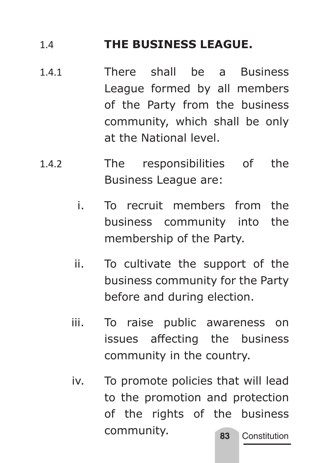### 1.4 **THE BUSINESS LEAGUE.**

- 1.4.1 There shall be a Business League formed by all members of the Party from the business community, which shall be only at the National level.
- 1.4.2 The responsibilities of the Business League are:
	- i. To recruit members from the business community into the membership of the Party.
	- ii. To cultivate the support of the business community for the Party before and during election.
	- iii. To raise public awareness on issues affecting the business community in the country.
	- **83** Constitution iv. To promote policies that will lead to the promotion and protection of the rights of the business community.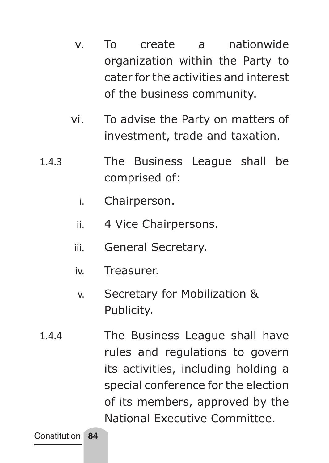- v. To create a nationwide organization within the Party to cater for the activities and interest of the business community.
- vi. To advise the Party on matters of investment, trade and taxation.
- 1.4.3 The Business League shall be comprised of:
	- i. Chairperson.
	- ii. 4 Vice Chairpersons.
	- iii. General Secretary.
	- iv. Treasurer.
	- v. Secretary for Mobilization & Publicity.
- 1.4.4 The Business League shall have rules and regulations to govern its activities, including holding a special conference for the election of its members, approved by the National Executive Committee.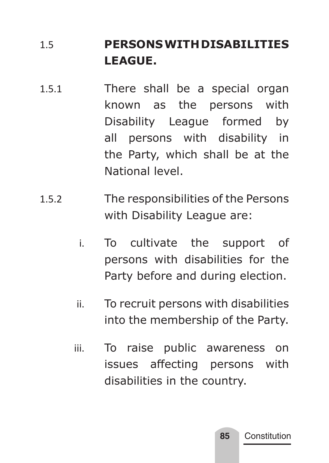## 1.5 **PERSONS WITH DISABILITIES LEAGUE.**

- 1.5.1 There shall be a special organ known as the persons with Disability League formed by all persons with disability in the Party, which shall be at the National level.
- 1.5.2 The responsibilities of the Persons with Disability League are:
	- i. To cultivate the support of persons with disabilities for the Party before and during election.
	- ii. To recruit persons with disabilities into the membership of the Party.
	- iii. To raise public awareness on issues affecting persons with disabilities in the country.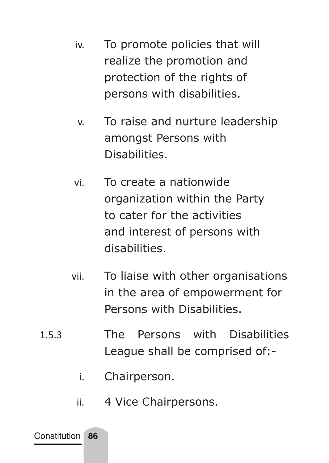- iv. To promote policies that will realize the promotion and protection of the rights of persons with disabilities.
- v. To raise and nurture leadership amongst Persons with **Disabilities**
- vi. To create a nationwide organization within the Party to cater for the activities and interest of persons with disabilities.
- vii. To liaise with other organisations in the area of empowerment for Persons with Disabilities.
- 1.5.3 The Persons with Disabilities League shall be comprised of:
	- i. Chairperson.
	- ii. 4 Vice Chairpersons.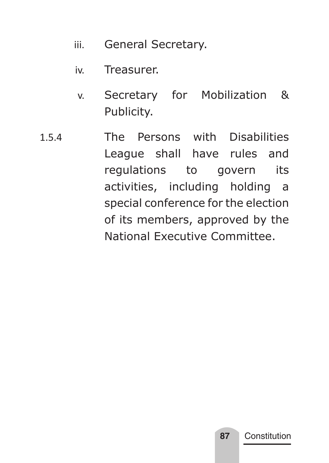- iii. General Secretary.
- iv. Treasurer.
- v. Secretary for Mobilization & Publicity.
- 1.5.4 The Persons with Disabilities League shall have rules and regulations to govern its activities, including holding a special conference for the election of its members, approved by the National Executive Committee.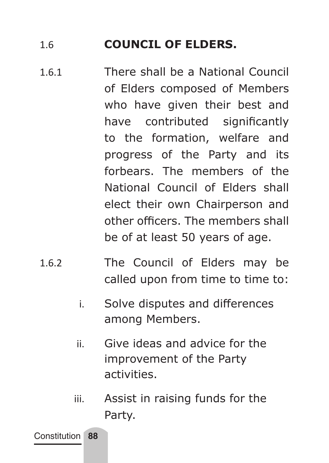### 1.6 **COUNCIL OF ELDERS.**

- 1.6.1 There shall be a National Council of Elders composed of Members who have given their best and have contributed significantly to the formation, welfare and progress of the Party and its forbears. The members of the National Council of Elders shall elect their own Chairperson and other officers. The members shall be of at least 50 years of age.
- 1.6.2 The Council of Elders may be called upon from time to time to:
	- i. Solve disputes and differences among Members.
	- ii. Give ideas and advice for the improvement of the Party activities.
	- iii. Assist in raising funds for the Party.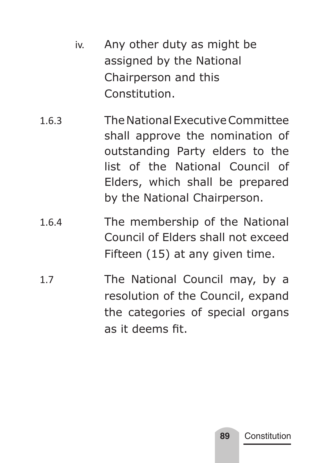- iv. Any other duty as might be assigned by the National Chairperson and this Constitution.
- 1.6.3 The National Executive Committee shall approve the nomination of outstanding Party elders to the list of the National Council of Elders, which shall be prepared by the National Chairperson.
- 1.6.4 The membership of the National Council of Elders shall not exceed Fifteen (15) at any given time.
- 1.7 The National Council may, by a resolution of the Council, expand the categories of special organs as it deems fit.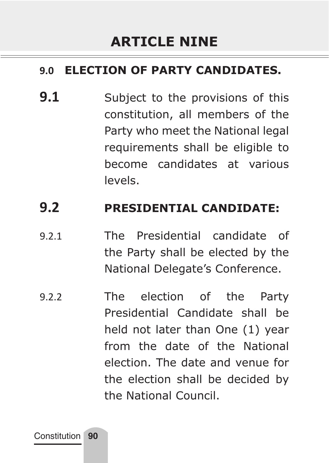### **9.0 ELECTION OF PARTY CANDIDATES.**

**9.1** Subject to the provisions of this constitution, all members of the Party who meet the National legal requirements shall be eligible to become candidates at various levels.

### **9.2 PRESIDENTIAL CANDIDATE:**

- 9.2.1 The Presidential candidate of the Party shall be elected by the National Delegate's Conference.
- 9.2.2 The election of the Party Presidential Candidate shall be held not later than One (1) year from the date of the National election. The date and venue for the election shall be decided by the National Council.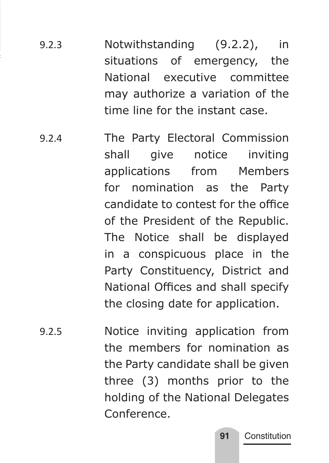- 9.2.3 Notwithstanding (9.2.2), in situations of emergency, the National executive committee may authorize a variation of the time line for the instant case.
- 9.2.4 The Party Electoral Commission shall give notice inviting applications from Members for nomination as the Party candidate to contest for the office of the President of the Republic. The Notice shall be displayed in a conspicuous place in the Party Constituency, District and National Offices and shall specify the closing date for application.
- 9.2.5 Notice inviting application from the members for nomination as the Party candidate shall be given three (3) months prior to the holding of the National Delegates Conference.

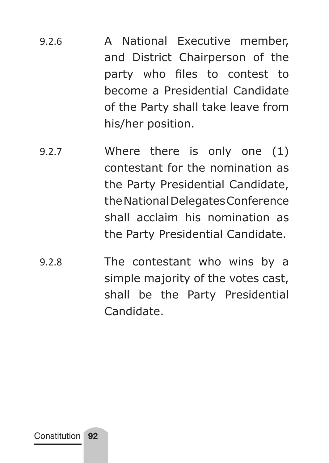- 9.2.6 A National Executive member, and District Chairperson of the party who files to contest to become a Presidential Candidate of the Party shall take leave from his/her position.
- 9.2.7 Where there is only one (1) contestant for the nomination as the Party Presidential Candidate, the National Delegates Conference shall acclaim his nomination as the Party Presidential Candidate.
- 9.2.8 The contestant who wins by a simple majority of the votes cast, shall be the Party Presidential Candidate.

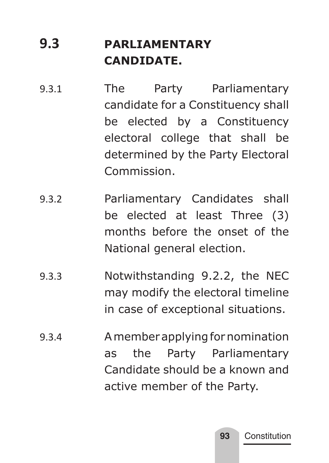# **9.3 PARLIAMENTARY CANDIDATE.**

- 9.3.1 The Party Parliamentary candidate for a Constituency shall be elected by a Constituency electoral college that shall be determined by the Party Electoral Commission.
- 9.3.2 Parliamentary Candidates shall be elected at least Three (3) months before the onset of the National general election.
- 9.3.3 Notwithstanding 9.2.2, the NEC may modify the electoral timeline in case of exceptional situations.
- 9.3.4 A member applying for nomination as the Party Parliamentary Candidate should be a known and active member of the Party.

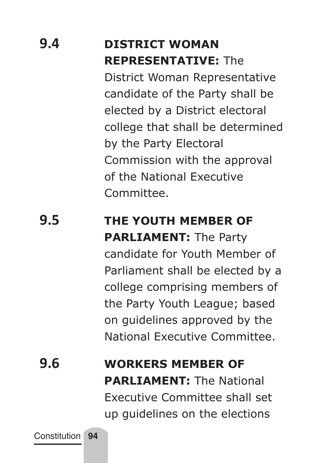# **9.4 DISTRICT WOMAN REPRESENTATIVE:** The District Woman Representative

candidate of the Party shall be elected by a District electoral college that shall be determined by the Party Electoral Commission with the approval of the National Executive Committee.

# **9.5 THE YOUTH MEMBER OF PARLIAMENT:** The Party candidate for Youth Member of Parliament shall be elected by a

college comprising members of the Party Youth League; based on guidelines approved by the National Executive Committee.

**9.6 WORKERS MEMBER OF PARLIAMENT:** The National Executive Committee shall set up guidelines on the elections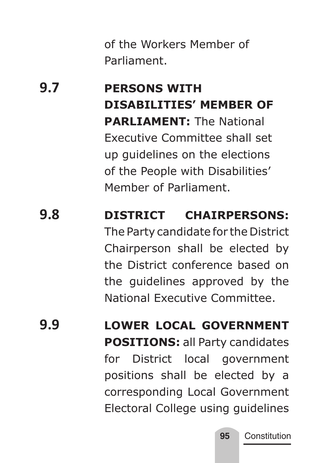of the Workers Member of Parliament.

# **9.7 PERSONS WITH DISABILITIES' MEMBER OF PARLIAMENT:** The National Executive Committee shall set up guidelines on the elections of the People with Disabilities' Member of Parliament.

# **9.8 DISTRICT CHAIRPERSONS:**  The Party candidate for the District Chairperson shall be elected by the District conference based on the guidelines approved by the National Executive Committee.

**9.9 LOWER LOCAL GOVERNMENT POSITIONS:** all Party candidates for District local government positions shall be elected by a corresponding Local Government Electoral College using guidelines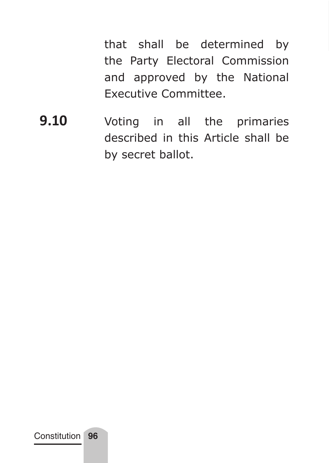that shall be determined by the Party Electoral Commission and approved by the National Executive Committee.

**9.10** Voting in all the primaries described in this Article shall be by secret ballot.

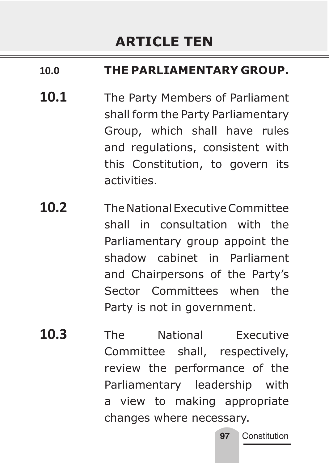# **ARTICLE TEN**

### **10.0 THE PARLIAMENTARY GROUP.**

- 10.1 The Party Members of Parliament shall form the Party Parliamentary Group, which shall have rules and regulations, consistent with this Constitution, to govern its activities.
- **10.2** The National Executive Committee shall in consultation with the Parliamentary group appoint the shadow cabinet in Parliament and Chairpersons of the Party's Sector Committees when the Party is not in government.
- **10.3** The National Executive Committee shall, respectively, review the performance of the Parliamentary leadership with a view to making appropriate changes where necessary.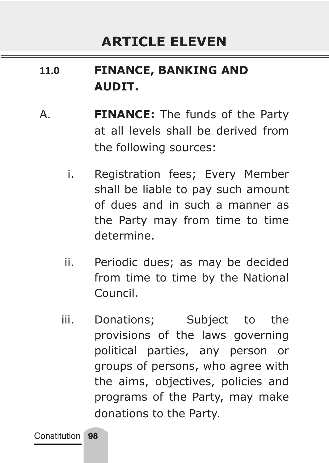# **11.0 FINANCE, BANKING AND AUDIT.**

- A. **FINANCE:** The funds of the Party at all levels shall be derived from the following sources:
	- i. Registration fees; Every Member shall be liable to pay such amount of dues and in such a manner as the Party may from time to time determine.
	- ii. Periodic dues; as may be decided from time to time by the National Council.
	- iii. Donations; Subject to the provisions of the laws governing political parties, any person or groups of persons, who agree with the aims, objectives, policies and programs of the Party, may make donations to the Party.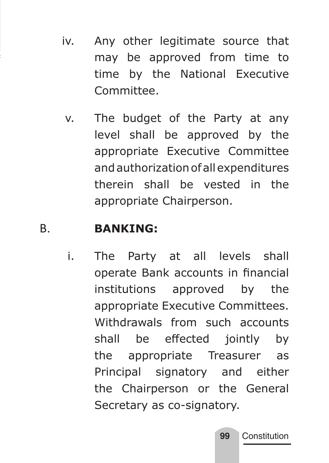- iv. Any other legitimate source that may be approved from time to time by the National Executive Committee.
	- v. The budget of the Party at any level shall be approved by the appropriate Executive Committee and authorization of all expenditures therein shall be vested in the appropriate Chairperson.

### B. **BANKING:**

i. The Party at all levels shall operate Bank accounts in financial institutions approved by the appropriate Executive Committees. Withdrawals from such accounts shall be effected jointly by the appropriate Treasurer as Principal signatory and either the Chairperson or the General Secretary as co-signatory.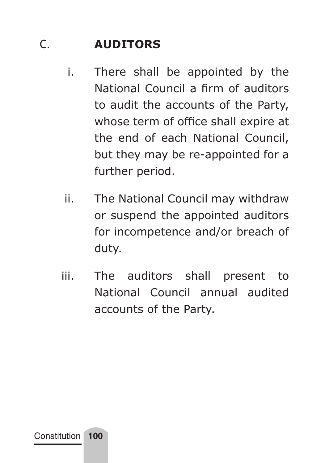## C. **AUDITORS**

- i. There shall be appointed by the National Council a firm of auditors to audit the accounts of the Party, whose term of office shall expire at the end of each National Council, but they may be re-appointed for a further period.
- ii. The National Council may withdraw or suspend the appointed auditors for incompetence and/or breach of duty.
- iii. The auditors shall present to National Council annual audited accounts of the Party.

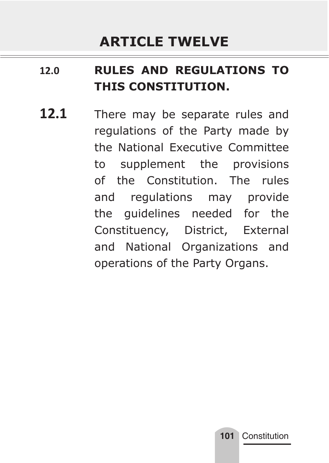## **12.0 RULES AND REGULATIONS TO THIS CONSTITUTION.**

12.1 There may be separate rules and regulations of the Party made by the National Executive Committee to supplement the provisions of the Constitution. The rules and regulations may provide the guidelines needed for the Constituency, District, External and National Organizations and operations of the Party Organs.

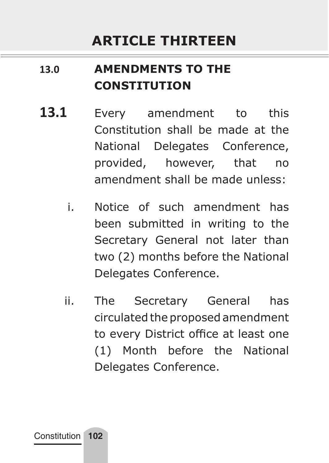# **ARTICLE THIRTEEN**

# **13.0 AMENDMENTS TO THE CONSTITUTION**

- **13.1** Every amendment to this Constitution shall be made at the National Delegates Conference, provided, however, that no amendment shall be made unless:
	- i. Notice of such amendment has been submitted in writing to the Secretary General not later than two (2) months before the National Delegates Conference.
	- ii. The Secretary General has circulated the proposed amendment to every District office at least one (1) Month before the National Delegates Conference.

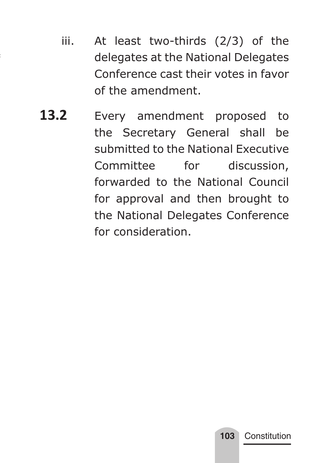- iii. At least two-thirds (2/3) of the delegates at the National Delegates Conference cast their votes in favor of the amendment.
- 13.2 Every amendment proposed to the Secretary General shall be submitted to the National Executive Committee for discussion, forwarded to the National Council for approval and then brought to the National Delegates Conference for consideration.

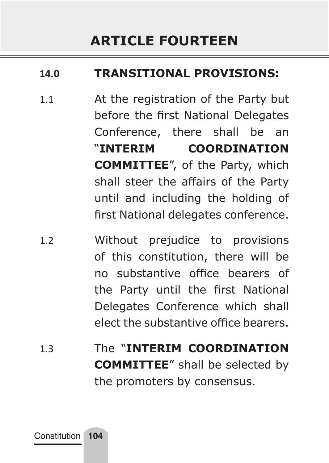### **14.0 TRANSITIONAL PROVISIONS:**

- 1.1 At the registration of the Party but before the first National Delegates Conference, there shall be an "**INTERIM COORDINATION COMMITTEE**", of the Party, which shall steer the affairs of the Party until and including the holding of first National delegates conference.
- 1.2 Without prejudice to provisions of this constitution, there will be no substantive office bearers of the Party until the first National Delegates Conference which shall elect the substantive office bearers.
- 1.3 The "**INTERIM COORDINATION COMMITTEE**" shall be selected by the promoters by consensus.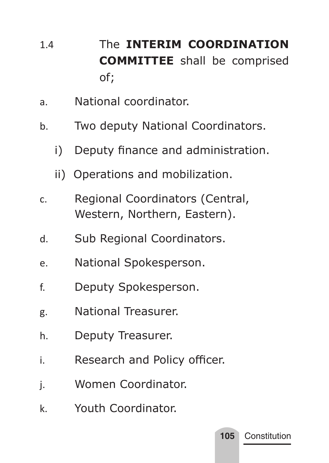- 1.4 The **INTERIM COORDINATION COMMITTEE** shall be comprised of;
- a. National coordinator.
- b. Two deputy National Coordinators.
	- i) Deputy finance and administration.
	- ii) Operations and mobilization.
- c. Regional Coordinators (Central, Western, Northern, Eastern).
- d. Sub Regional Coordinators.
- e. National Spokesperson.
- f. Deputy Spokesperson.
- g. National Treasurer.
- h. Deputy Treasurer.
- i. Research and Policy officer.

**105** Constitution

- j. Women Coordinator.
- k. Youth Coordinator.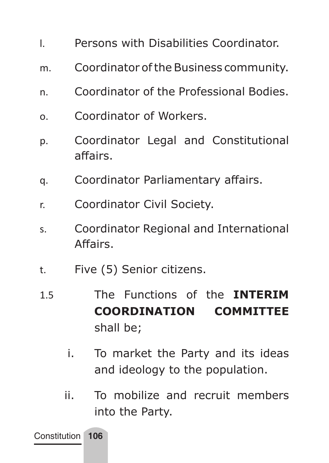- l. Persons with Disabilities Coordinator.
- m. Coordinator of the Business community.
- n. Coordinator of the Professional Bodies.
- o. Coordinator of Workers.
- p. Coordinator Legal and Constitutional affairs.
- q. Coordinator Parliamentary affairs.
- r. Coordinator Civil Society.
- s. Coordinator Regional and International Affairs.
- t. Five (5) Senior citizens.
- 1.5 The Functions of the **INTERIM COORDINATION COMMITTEE**  shall be;
	- i. To market the Party and its ideas and ideology to the population.
	- ii. To mobilize and recruit members into the Party.

Constitution **106**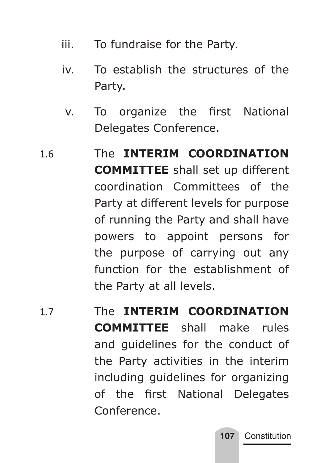- iii. To fundraise for the Party.
- iv. To establish the structures of the Party.
	- v. To organize the first National Delegates Conference.
- 1.6 The **INTERIM COORDINATION COMMITTEE** shall set up different coordination Committees of the Party at different levels for purpose of running the Party and shall have powers to appoint persons for the purpose of carrying out any function for the establishment of the Party at all levels.
- 1.7 The **INTERIM COORDINATION COMMITTEE** shall make rules and guidelines for the conduct of the Party activities in the interim including guidelines for organizing of the first National Delegates Conference.